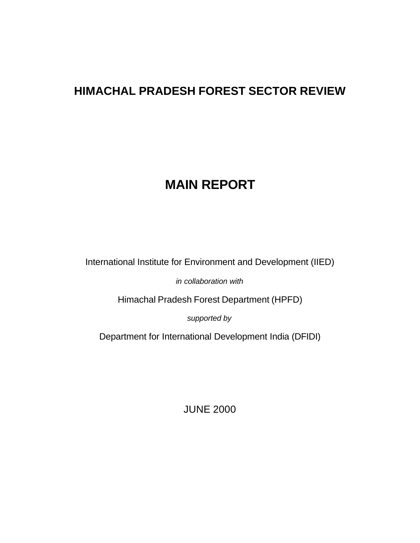# **HIMACHAL PRADESH FOREST SECTOR REVIEW**

# **MAIN REPORT**

International Institute for Environment and Development (IIED)

*in collaboration with*

Himachal Pradesh Forest Department (HPFD)

*supported by*

Department for International Development India (DFIDI)

JUNE 2000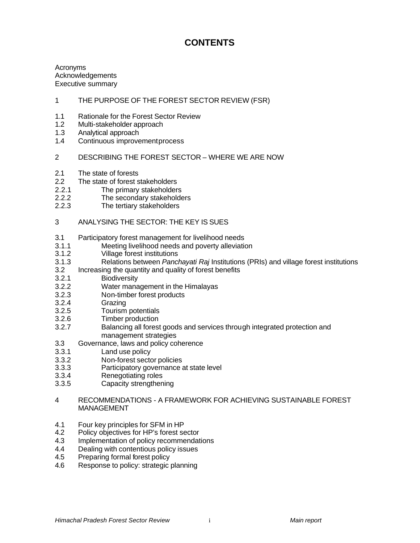# **CONTENTS**

Acronyms Acknowledgements Executive summary

## 1 THE PURPOSE OF THE FOREST SECTOR REVIEW (FSR)

- 1.1 Rationale for the Forest Sector Review
- 1.2 Multi-stakeholder approach
- 1.3 Analytical approach
- 1.4 Continuous improvement process
- 2 DESCRIBING THE FOREST SECTOR WHERE WE ARE NOW
- 2.1 The state of forests
- 2.2 The state of forest stakeholders
- 2.2.1 The primary stakeholders
- 2.2.2 The secondary stakeholders<br>2.2.3 The tertiary stakeholders
- The tertiary stakeholders
- 3 ANALYSING THE SECTOR: THE KEY IS SUES
- 3.1 Participatory forest management for livelihood needs
- 3.1.1 Meeting livelihood needs and poverty alleviation
- 3.1.2 Village forest institutions
- 3.1.3 Relations between *Panchayati Raj* Institutions (PRIs) and village forest institutions
- 3.2 Increasing the quantity and quality of forest benefits
- 3.2.1 Biodiversity
- 3.2.2 Water management in the Himalayas
- 3.2.3 Non-timber forest products
- 3.2.4 Grazing
- 3.2.5 Tourism potentials
- 3.2.6 Timber production
- 3.2.7 Balancing all forest goods and services through integrated protection and management strategies
- 3.3 Governance, laws and policy coherence
- 3.3.1 Land use policy
- 3.3.2 Non-forest sector policies
- 3.3.3 Participatory governance at state level
- 3.3.4 Renegotiating roles
- 3.3.5 Capacity strengthening
- 4 RECOMMENDATIONS A FRAMEWORK FOR ACHIEVING SUSTAINABLE FOREST **MANAGEMENT**
- 4.1 Four key principles for SFM in HP
- 4.2 Policy objectives for HP's forest sector
- 4.3 Implementation of policy recommendations
- 4.4 Dealing with contentious policy issues
- 4.5 Preparing formal forest policy
- 4.6 Response to policy: strategic planning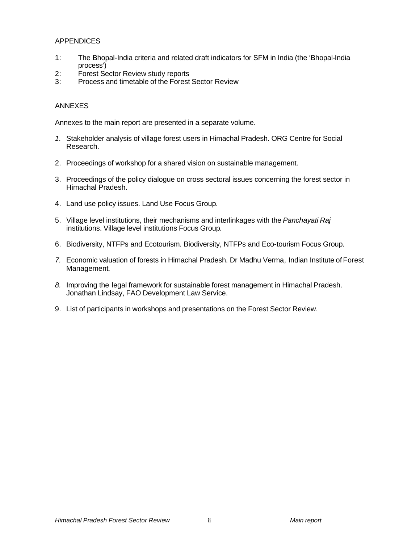## APPENDICES

- 1: The Bhopal-India criteria and related draft indicators for SFM in India (the 'Bhopal-India process')
- 2: Forest Sector Review study reports
- 3: Process and timetable of the Forest Sector Review

#### ANNEXES

Annexes to the main report are presented in a separate volume.

- *1.* Stakeholder analysis of village forest users in Himachal Pradesh. ORG Centre for Social Research.
- 2. Proceedings of workshop for a shared vision on sustainable management.
- 3. Proceedings of the policy dialogue on cross sectoral issues concerning the forest sector in Himachal Pradesh.
- 4. Land use policy issues. Land Use Focus Group*.*
- 5. Village level institutions, their mechanisms and interlinkages with the *Panchayati Raj* institutions. Village level institutions Focus Group*.*
- 6. Biodiversity, NTFPs and Ecotourism. Biodiversity, NTFPs and Eco-tourism Focus Group.
- *7.* Economic valuation of forests in Himachal Pradesh. Dr Madhu Verma*,* Indian Institute of Forest Management*.*
- *8.* Improving the legal framework for sustainable forest management in Himachal Pradesh. Jonathan Lindsay, FAO Development Law Service.
- 9. List of participants in workshops and presentations on the Forest Sector Review.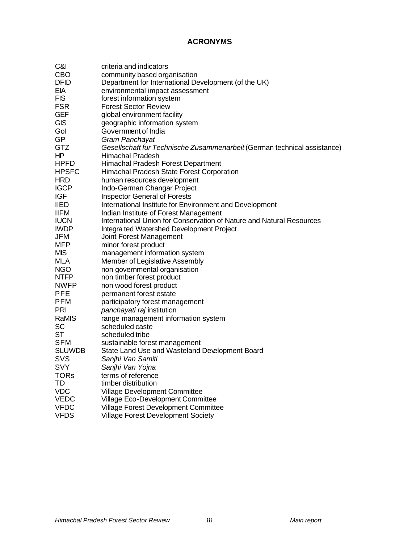# **ACRONYMS**

| C&I           | criteria and indicators                                                  |
|---------------|--------------------------------------------------------------------------|
| CBO           | community based organisation                                             |
| DFID          | Department for International Development (of the UK)                     |
| EIA           | environmental impact assessment                                          |
| <b>FIS</b>    | forest information system                                                |
| <b>FSR</b>    | <b>Forest Sector Review</b>                                              |
| <b>GEF</b>    | global environment facility                                              |
| <b>GIS</b>    | geographic information system                                            |
| Gol           | Government of India                                                      |
| <b>GP</b>     | Gram Panchayat                                                           |
| <b>GTZ</b>    |                                                                          |
| HP            | Gesellschaft fur Technische Zusammenarbeit (German technical assistance) |
|               | Himachal Pradesh                                                         |
| <b>HPFD</b>   | Himachal Pradesh Forest Department                                       |
| <b>HPSFC</b>  | Himachal Pradesh State Forest Corporation                                |
| HRD           | human resources development                                              |
| <b>IGCP</b>   | Indo-German Changar Project                                              |
| IGF           | <b>Inspector General of Forests</b>                                      |
| IIED          | International Institute for Environment and Development                  |
| <b>IIFM</b>   | Indian Institute of Forest Management                                    |
| <b>IUCN</b>   | International Union for Conservation of Nature and Natural Resources     |
| <b>IWDP</b>   | Integra ted Watershed Development Project                                |
| JFM           | Joint Forest Management                                                  |
| MFP           | minor forest product                                                     |
| <b>MIS</b>    | management information system                                            |
| MLA           | Member of Legislative Assembly                                           |
| NGO           | non governmental organisation                                            |
| <b>NTFP</b>   | non timber forest product                                                |
| NWFP          | non wood forest product                                                  |
| <b>PFE</b>    | permanent forest estate                                                  |
| PFM           | participatory forest management                                          |
| PRI           | panchayati raj institution                                               |
| RaMIS         | range management information system                                      |
| SC            | scheduled caste                                                          |
| SТ            | scheduled tribe                                                          |
| SFM           | sustainable forest management                                            |
| <b>SLUWDB</b> | State Land Use and Wasteland Development Board                           |
| <b>SVS</b>    | Sanjhi Van Samiti                                                        |
| <b>SVY</b>    | Sanjhi Van Yojna                                                         |
| <b>TORs</b>   | terms of reference                                                       |
| TD            | timber distribution                                                      |
| <b>VDC</b>    |                                                                          |
| <b>VEDC</b>   | Village Development Committee                                            |
| <b>VFDC</b>   | Village Eco-Development Committee                                        |
|               | Village Forest Development Committee                                     |
| VFDS          | <b>Village Forest Development Society</b>                                |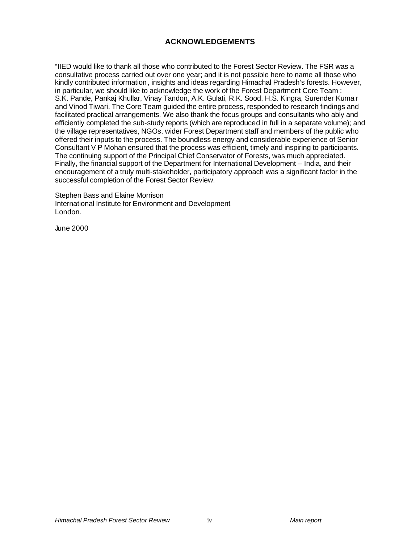# **ACKNOWLEDGEMENTS**

"IIED would like to thank all those who contributed to the Forest Sector Review. The FSR was a consultative process carried out over one year; and it is not possible here to name all those who kindly contributed information, insights and ideas regarding Himachal Pradesh's forests. However, in particular, we should like to acknowledge the work of the Forest Department Core Team : S.K. Pande, Pankaj Khullar, Vinay Tandon, A.K. Gulati, R.K. Sood, H.S. Kingra, Surender Kuma r and Vinod Tiwari. The Core Team guided the entire process, responded to research findings and facilitated practical arrangements. We also thank the focus groups and consultants who ably and efficiently completed the sub-study reports (which are reproduced in full in a separate volume); and the village representatives, NGOs, wider Forest Department staff and members of the public who offered their inputs to the process. The boundless energy and considerable experience of Senior Consultant V P Mohan ensured that the process was efficient, timely and inspiring to participants. The continuing support of the Principal Chief Conservator of Forests, was much appreciated. Finally, the financial support of the Department for International Development – India, and their encouragement of a truly multi-stakeholder, participatory approach was a significant factor in the successful completion of the Forest Sector Review.

Stephen Bass and Elaine Morrison International Institute for Environment and Development London.

June 2000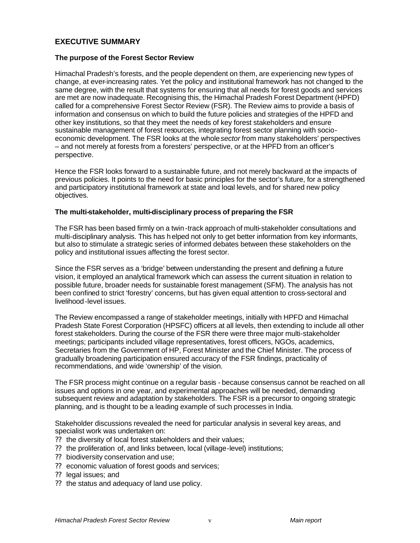# **EXECUTIVE SUMMARY**

#### **The purpose of the Forest Sector Review**

Himachal Pradesh's forests, and the people dependent on them, are experiencing new types of change, at ever-increasing rates. Yet the policy and institutional framework has not changed to the same degree, with the result that systems for ensuring that all needs for forest goods and services are met are now inadequate. Recognising this, the Himachal Pradesh Forest Department (HPFD) called for a comprehensive Forest Sector Review (FSR). The Review aims to provide a basis of information and consensus on which to build the future policies and strategies of the HPFD and other key institutions, so that they meet the needs of key forest stakeholders and ensure sustainable management of forest resources, integrating forest sector planning with socioeconomic development. The FSR looks at the whole *sector* from many stakeholders' perspectives – and not merely at forests from a foresters' perspective, or at the HPFD from an officer's perspective.

Hence the FSR looks forward to a sustainable future, and not merely backward at the impacts of previous policies. It points to the need for basic principles for the sector's future, for a strengthened and participatory institutional framework at state and local levels, and for shared new policy objectives.

#### **The multi-stakeholder, multi-disciplinary process of preparing the FSR**

The FSR has been based firmly on a twin-track approach of multi-stakeholder consultations and multi-disciplinary analysis. This has helped not only to get better information from key informants, but also to stimulate a strategic series of informed debates between these stakeholders on the policy and institutional issues affecting the forest sector.

Since the FSR serves as a 'bridge' between understanding the present and defining a future vision, it employed an analytical framework which can assess the current situation in relation to possible future, broader needs for sustainable forest management (SFM). The analysis has not been confined to strict 'forestry' concerns, but has given equal attention to cross-sectoral and livelihood-level issues.

The Review encompassed a range of stakeholder meetings, initially with HPFD and Himachal Pradesh State Forest Corporation (HPSFC) officers at all levels, then extending to include all other forest stakeholders. During the course of the FSR there were three major multi-stakeholder meetings; participants included village representatives, forest officers, NGOs, academics, Secretaries from the Government of HP, Forest Minister and the Chief Minister. The process of gradually broadening participation ensured accuracy of the FSR findings, practicality of recommendations, and wide 'ownership' of the vision.

The FSR process might continue on a regular basis - because consensus cannot be reached on all issues and options in one year, and experimental approaches will be needed, demanding subsequent review and adaptation by stakeholders. The FSR is a precursor to ongoing strategic planning, and is thought to be a leading example of such processes in India.

Stakeholder discussions revealed the need for particular analysis in several key areas, and specialist work was undertaken on:

- ?? the diversity of local forest stakeholders and their values;
- ?? the proliferation of, and links between, local (village-level) institutions;
- ?? biodiversity conservation and use;
- ?? economic valuation of forest goods and services;
- ?? legal issues; and
- ?? the status and adequacy of land use policy.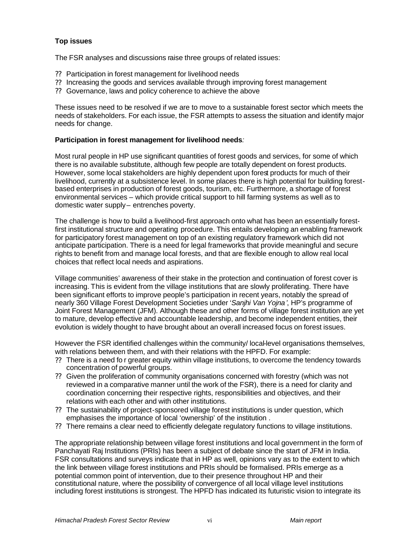## **Top issues**

The FSR analyses and discussions raise three groups of related issues:

- ?? Participation in forest management for livelihood needs
- ?? Increasing the goods and services available through improving forest management
- ?? Governance, laws and policy coherence to achieve the above

These issues need to be resolved if we are to move to a sustainable forest sector which meets the needs of stakeholders. For each issue, the FSR attempts to assess the situation and identify major needs for change.

## **Participation in forest management for livelihood needs***:*

Most rural people in HP use significant quantities of forest goods and services, for some of which there is no available substitute, although few people are totally dependent on forest products. However, some local stakeholders are highly dependent upon forest products for much of their livelihood, currently at a subsistence level. In some places there is high potential for building forestbased enterprises in production of forest goods, tourism, etc. Furthermore, a shortage of forest environmental services – which provide critical support to hill farming systems as well as to domestic water supply – entrenches poverty.

The challenge is how to build a livelihood-first approach onto what has been an essentially forestfirst institutional structure and operating procedure. This entails developing an enabling framework for participatory forest management on top of an existing regulatory framework which did not anticipate participation. There is a need for legal frameworks that provide meaningful and secure rights to benefit from and manage local forests, and that are flexible enough to allow real local choices that reflect local needs and aspirations.

Village communities' awareness of their stake in the protection and continuation of forest cover is increasing. This is evident from the village institutions that are slowly proliferating. There have been significant efforts to improve people's participation in recent years, notably the spread of nearly 360 Village Forest Development Societies under '*Sanjhi Van Yojna'*, HP's programme of Joint Forest Management (JFM). Although these and other forms of village forest institution are yet to mature, develop effective and accountable leadership, and become independent entities, their evolution is widely thought to have brought about an overall increased focus on forest issues.

However the FSR identified challenges within the community/ local-level organisations themselves, with relations between them, and with their relations with the HPFD. For example:

- ?? There is a need fo r greater equity within village institutions, to overcome the tendency towards concentration of powerful groups.
- ?? Given the proliferation of community organisations concerned with forestry (which was not reviewed in a comparative manner until the work of the FSR), there is a need for clarity and coordination concerning their respective rights, responsibilities and objectives, and their relations with each other and with other institutions.
- ?? The sustainability of project-sponsored village forest institutions is under question, which emphasises the importance of local 'ownership' of the institution .
- ?? There remains a clear need to efficiently delegate regulatory functions to village institutions.

The appropriate relationship between village forest institutions and local government in the form of Panchayati Raj Institutions (PRIs) has been a subject of debate since the start of JFM in India. FSR consultations and surveys indicate that in HP as well, opinions vary as to the extent to which the link between village forest institutions and PRIs should be formalised. PRIs emerge as a potential common point of intervention, due to their presence throughout HP and their constitutional nature, where the possibility of convergence of all local village level institutions including forest institutions is strongest. The HPFD has indicated its futuristic vision to integrate its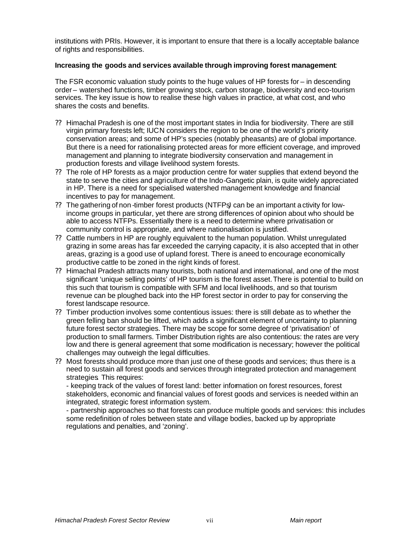institutions with PRIs. However, it is important to ensure that there is a locally acceptable balance of rights and responsibilities.

#### **Increasing the goods and services available through improving forest management**:

The FSR economic valuation study points to the huge values of HP forests for – in descending order – watershed functions, timber growing stock, carbon storage, biodiversity and eco-tourism services. The key issue is how to realise these high values in practice, at what cost, and who shares the costs and benefits.

- ?? Himachal Pradesh is one of the most important states in India for biodiversity. There are still virgin primary forests left; IUCN considers the region to be one of the world's priority conservation areas; and some of HP's species (notably pheasants) are of global importance. But there is a need for rationalising protected areas for more efficient coverage, and improved management and planning to integrate biodiversity conservation and management in production forests and village livelihood system forests.
- ?? The role of HP forests as a major production centre for water supplies that extend beyond the state to serve the cities and agriculture of the Indo-Gangetic plain, is quite widely appreciated in HP. There is a need for specialised watershed management knowledge and financial incentives to pay for management.
- ?? The gathering of non -timber forest products (NTFPs*)* can be an important activity for lowincome groups in particular, yet there are strong differences of opinion about who should be able to access NTFPs. Essentially there is a need to determine where privatisation or community control is appropriate, and where nationalisation is justified.
- ?? Cattle numbers in HP are roughly equivalent to the human population. Whilst unregulated grazing in some areas has far exceeded the carrying capacity, it is also accepted that in other areas, grazing is a good use of upland forest. There is a need to encourage economically productive cattle to be zoned in the right kinds of forest.
- ?? Himachal Pradesh attracts many tourists, both national and international, and one of the most significant 'unique selling points' of HP tourism is the forest asset. There is potential to build on this such that tourism is compatible with SFM and local livelihoods, and so that tourism revenue can be ploughed back into the HP forest sector in order to pay for conserving the forest landscape resource.
- ?? Timber production involves some contentious issues: there is still debate as to whether the green felling ban should be lifted, which adds a significant element of uncertainty to planning future forest sector strategies. There may be scope for some degree of 'privatisation' of production to small farmers. Timber Distribution rights are also contentious: the rates are very low and there is general agreement that some modification is necessary; however the political challenges may outweigh the legal difficulties.
- ?? Most forests should produce more than just one of these goods and services; thus there is a need to sustain all forest goods and services through integrated protection and management strategies*.* This requires:

- keeping track of the values of forest land: better information on forest resources, forest stakeholders, economic and financial values of forest goods and services is needed within an integrated, strategic forest information system.

- partnership approaches so that forests can produce multiple goods and services: this includes some redefinition of roles between state and village bodies, backed up by appropriate regulations and penalties, and 'zoning'.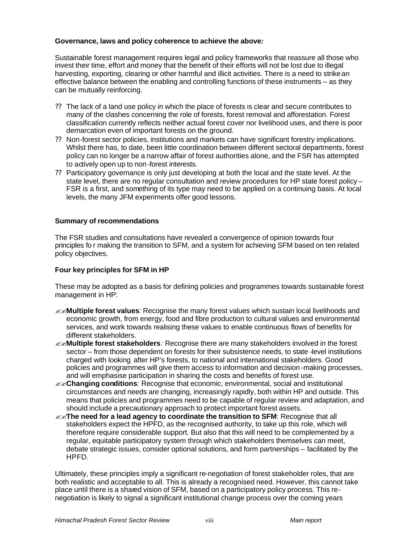## **Governance, laws and policy coherence to achieve the above***:*

Sustainable forest management requires legal and policy frameworks that reassure all those who invest their time, effort and money that the benefit of their efforts will not be lost due to illegal harvesting, exporting, clearing or other harmful and illicit activities. There is a need to strike an effective balance between the enabling and controlling functions of these instruments – as they can be mutually reinforcing.

- ?? The lack of a land use policy in which the place of forests is clear and secure contributes to many of the clashes concerning the role of forests, forest removal and afforestation. Forest classification currently reflects neither actual forest cover nor livelihood uses, and there is poor demarcation even of important forests on the ground.
- ?? Non-forest sector policies, institutions and markets can have significant forestry implications. Whilst there has, to date, been little coordination between different sectoral departments, forest policy can no longer be a narrow affair of forest authorities alone, and the FSR has attempted to actively open up to non -forest interests.
- ?? Participatory governance is only just developing at both the local and the state level. At the state level, there are no regular consultation and review procedures for HP state forest policy – FSR is a first, and something of its type may need to be applied on a continuing basis. At local levels, the many JFM experiments offer good lessons.

#### **Summary of recommendations**

The FSR studies and consultations have revealed a convergence of opinion towards four principles fo r making the transition to SFM, and a system for achieving SFM based on ten related policy objectives.

## **Four key principles for SFM in HP**

These may be adopted as a basis for defining policies and programmes towards sustainable forest management in HP:

- ??**Multiple forest values***:* Recognise the many forest values which sustain local livelihoods and economic growth, from energy, food and fibre production to cultural values and environmental services, and work towards realising these values to enable continuous flows of benefits for different stakeholders.
- ??**Multiple forest stakeholders***:* Recognise there are many stakeholders involved in the forest sector – from those dependent on forests for their subsistence needs, to state -level institutions charged with looking after HP's forests, to national and international stakeholders. Good policies and programmes will give them access to information and decision-making processes, and will emphasise participation in sharing the costs and benefits of forest use.
- ??**Changing conditions***:* Recognise that economic, environmental, social and institutional circumstances and needs are changing, increasingly rapidly, both within HP and outside. This means that policies and programmes need to be capable of regular review and adaptation, and should include a precautionary approach to protect important forest assets.
- **EXThe need for a lead agency to coordinate the transition to SFM**: Recognise that all stakeholders expect the HPFD, as the recognised authority, to take up this role, which will therefore require considerable support. But also that this will need to be complemented by a regular, equitable participatory system through which stakeholders themselves can meet, debate strategic issues, consider optional solutions, and form partnerships – facilitated by the HPFD.

Ultimately, these principles imply a significant re-negotiation of forest stakeholder roles, that are both realistic and acceptable to all. This is already a recognised need. However, this cannot take place until there is a shared vision of SFM, based on a participatory policy process. This renegotiation is likely to signal a significant institutional change process over the coming years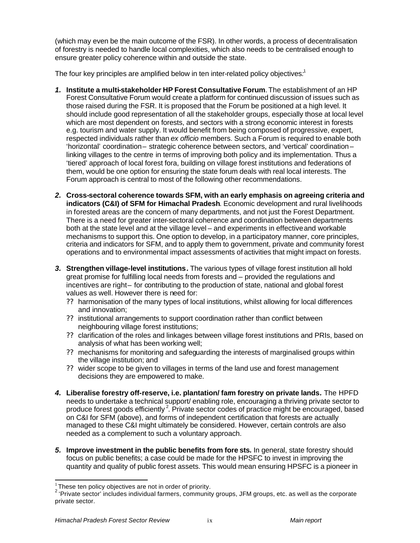(which may even be the main outcome of the FSR). In other words, a process of decentralisation of forestry is needed to handle local complexities, which also needs to be centralised enough to ensure greater policy coherence within and outside the state.

The four key principles are amplified below in ten inter-related policy objectives*:* 1

- *1.* **Institute a multi-stakeholder HP Forest Consultative Forum**.The establishment of an HP Forest Consultative Forum would create a platform for continued discussion of issues such as those raised during the FSR. It is proposed that the Forum be positioned at a high level. It should include good representation of all the stakeholder groups, especially those at local level which are most dependent on forests, and sectors with a strong economic interest in forests e.g. tourism and water supply. It would benefit from being composed of progressive, expert, respected individuals rather than *ex officio* members. Such a Forum is required to enable both 'horizontal' coordination – strategic coherence between sectors, and 'vertical' coordination – linking villages to the centre in terms of improving both policy and its implementation. Thus a 'tiered' approach of local forest fora, building on village forest institutions and federations of them, would be one option for ensuring the state forum deals with real local interests. The Forum approach is central to most of the following other recommendations.
- *2.* **Cross-sectoral coherence towards SFM, with an early emphasis on agreeing criteria and indicators (C&I) of SFM for Himachal Pradesh**. Economic development and rural livelihoods in forested areas are the concern of many departments, and not just the Forest Department. There is a need for greater inter-sectoral coherence and coordination between departments both at the state level and at the village level – and experiments in effective and workable mechanisms to support this. One option to develop, in a participatory manner, core principles, criteria and indicators for SFM, and to apply them to government, private and community forest operations and to environmental impact assessments of activities that might impact on forests.
- *3.* **Strengthen village-level institutions***.* The various types of village forest institution all hold great promise for fulfilling local needs from forests and – provided the regulations and incentives are right- for contributing to the production of state, national and global forest values as well. However there is need for:
	- ?? harmonisation of the many types of local institutions, whilst allowing for local differences and innovation;
	- ?? institutional arrangements to support coordination rather than conflict between neighbouring village forest institutions;
	- ?? clarification of the roles and linkages between village forest institutions and PRIs, based on analysis of what has been working well;
	- ?? mechanisms for monitoring and safeguarding the interests of marginalised groups within the village institution; and
	- ?? wider scope to be given to villages in terms of the land use and forest management decisions they are empowered to make.
- *4.* **Liberalise forestry off-reserve, i.e. plantation/ farm forestry on private lands***.* The HPFD needs to undertake a technical support/ enabling role, encouraging a thriving private sector to produce forest goods efficiently<sup>2</sup>. Private sector codes of practice might be encouraged, based on C&I for SFM (above), and forms of independent certification that forests are actually managed to these C&I might ultimately be considered. However, certain controls are also needed as a complement to such a voluntary approach.
- *5.* **Improve investment in the public benefits from fore sts.** In general, state forestry should focus on public benefits; a case could be made for the HPSFC to invest in improving the quantity and quality of public forest assets. This would mean ensuring HPSFC is a pioneer in

l

 $\frac{1}{2}$ These ten policy objectives are not in order of priority.

 $2$  'Private sector' includes individual farmers, community groups, JFM groups, etc. as well as the corporate private sector.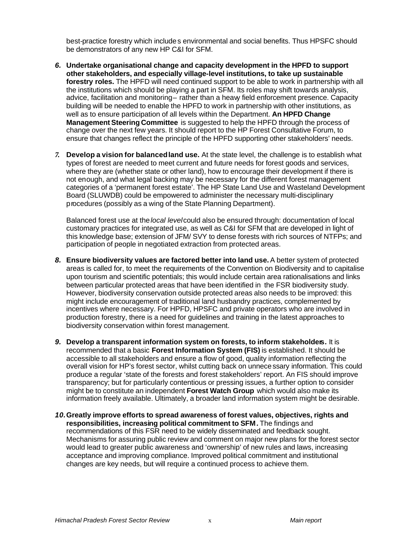best-practice forestry which includes environmental and social benefits. Thus HPSFC should be demonstrators of any new HP C&I for SFM.

- *6.* **Undertake organisational change and capacity development in the HPFD to support other stakeholders, and especially village-level institutions, to take up sustainable forestry roles.** The HPFD will need continued support to be able to work in partnership with all the institutions which should be playing a part in SFM. Its roles may shift towards analysis, advice, facilitation and monitoring- rather than a heavy field enforcement presence. Capacity building will be needed to enable the HPFD to work in partnership with other institutions, as well as to ensure participation of all levels within the Department. **An HPFD Change Management Steering Committee** is suggested to help the HPFD through the process of change over the next few years. It should report to the HP Forest Consultative Forum, to ensure that changes reflect the principle of the HPFD supporting other stakeholders' needs.
- *7.* **Develop a vision for balanced land use.** At the state level, the challenge is to establish what types of forest are needed to meet current and future needs for forest goods and services, where they are (whether state or other land), how to encourage their development if there is not enough, and what legal backing may be necessary for the different forest management categories of a 'permanent forest estate'. The HP State Land Use and Wasteland Development Board (SLUWDB) could be empowered to administer the necessary multi-disciplinary procedures (possibly as a wing of the State Planning Department).

Balanced forest use at the *local level* could also be ensured through: documentation of local customary practices for integrated use, as well as C&I for SFM that are developed in light of this knowledge base; extension of JFM/ SVY to dense forests with rich sources of NTFPs; and participation of people in negotiated extraction from protected areas.

- *8.* **Ensure biodiversity values are factored better into land use.** A better system of protected areas is called for, to meet the requirements of the Convention on Biodiversity and to capitalise upon tourism and scientific potentials; this would include certain area rationalisations and links between particular protected areas that have been identified in the FSR biodiversity study. However, biodiversity conservation outside protected areas also needs to be improved: this might include encouragement of traditional land husbandry practices, complemented by incentives where necessary. For HPFD, HPSFC and private operators who are involved in production forestry, there is a need for guidelines and training in the latest approaches to biodiversity conservation within forest management.
- *9.* **Develop a transparent information system on forests, to inform stakeholders***.* It is recommended that a basic **Forest Information System (FIS)** is established. It should be accessible to all stakeholders and ensure a flow of good, quality information reflecting the overall vision for HP's forest sector, whilst cutting back on unnecessary information. This could produce a regular 'state of the forests and forest stakeholders' report. An FIS should improve transparency; but for particularly contentious or pressing issues, a further option to consider might be to constitute an independent **Forest Watch Group** which would also make its information freely available. Ultimately, a broader land information system might be desirable.
- *10.***Greatly improve efforts to spread awareness of forest values, objectives, rights and responsibilities, increasing political commitment to SFM***.* The findings and recommendations of this FSR need to be widely disseminated and feedback sought. Mechanisms for assuring public review and comment on major new plans for the forest sector would lead to greater public awareness and 'ownership' of new rules and laws, increasing acceptance and improving compliance. Improved political commitment and institutional changes are key needs, but will require a continued process to achieve them.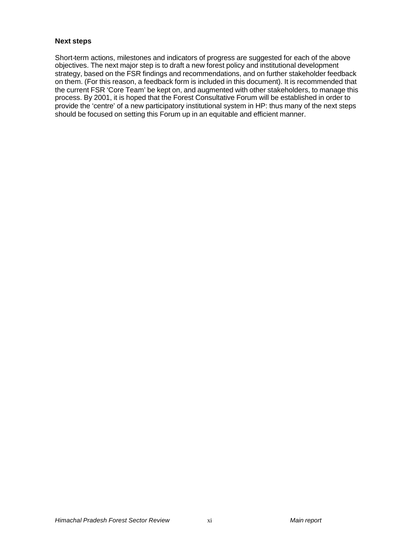#### **Next steps**

Short-term actions, milestones and indicators of progress are suggested for each of the above objectives. The next major step is to draft a new forest policy and institutional development strategy, based on the FSR findings and recommendations, and on further stakeholder feedback on them. (For this reason, a feedback form is included in this document). It is recommended that the current FSR 'Core Team' be kept on, and augmented with other stakeholders, to manage this process. By 2001, it is hoped that the Forest Consultative Forum will be established in order to provide the 'centre' of a new participatory institutional system in HP: thus many of the next steps should be focused on setting this Forum up in an equitable and efficient manner.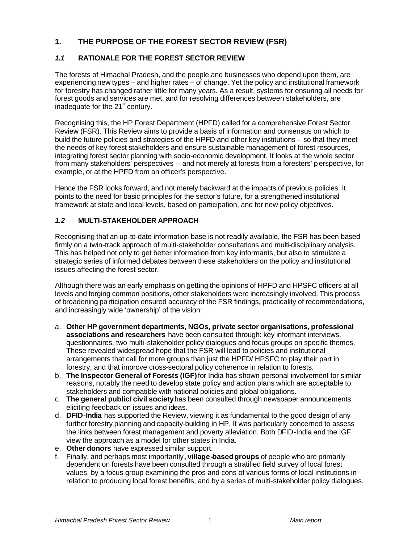# **1. THE PURPOSE OF THE FOREST SECTOR REVIEW (FSR)**

# *1.1* **RATIONALE FOR THE FOREST SECTOR REVIEW**

The forests of Himachal Pradesh, and the people and businesses who depend upon them, are experiencing new types – and higher rates – of change. Yet the policy and institutional framework for forestry has changed rather little for many years. As a result, systems for ensuring all needs for forest goods and services are met, and for resolving differences between stakeholders, are inadequate for the  $21<sup>st</sup>$  century.

Recognising this, the HP Forest Department (HPFD) called for a comprehensive Forest Sector Review (FSR). This Review aims to provide a basis of information and consensus on which to build the future policies and strategies of the HPFD and other key institutions – so that they meet the needs of key forest stakeholders and ensure sustainable management of forest resources, integrating forest sector planning with socio-economic development. It looks at the whole sector from many stakeholders' perspectives – and not merely at forests from a foresters' perspective, for example, or at the HPFD from an officer's perspective.

Hence the FSR looks forward, and not merely backward at the impacts of previous policies. It points to the need for basic principles for the sector's future, for a strengthened institutional framework at state and local levels, based on participation, and for new policy objectives.

# *1.2* **MULTI-STAKEHOLDER APPROACH**

Recognising that an up-to-date information base is not readily available, the FSR has been based firmly on a twin-track approach of multi-stakeholder consultations and multi-disciplinary analysis. This has helped not only to get better information from key informants, but also to stimulate a strategic series of informed debates between these stakeholders on the policy and institutional issues affecting the forest sector.

Although there was an early emphasis on getting the opinions of HPFD and HPSFC officers at all levels and forging common positions, other stakeholders were increasingly involved. This process of broadening participation ensured accuracy of the FSR findings, practicality of recommendations, and increasingly wide 'ownership' of the vision:

- a. **Other HP government departments, NGOs, private sector organisations, professional associations and researchers** have been consulted through: key informant interviews, questionnaires, two multi-stakeholder policy dialogues and focus groups on specific themes. These revealed widespread hope that the FSR will lead to policies and institutional arrangements that call for more groups than just the HPFD/ HPSFC to play their part in forestry, and that improve cross-sectoral policy coherence in relation to forests.
- b. **The Inspector General of Forests (IGF)** for India has shown personal involvement for similar reasons, notably the need to develop state policy and action plans which are acceptable to stakeholders and compatible with national policies and global obligations.
- c. **The general public/ civil society** has been consulted through newspaper announcements eliciting feedback on issues and ideas.
- d. **DFID-India** has supported the Review, viewing it as fundamental to the good design of any further forestry planning and capacity-building in HP. It was particularly concerned to assess the links between forest management and poverty alleviation. Both DFID-India and the IGF view the approach as a model for other states in India.
- e. **Other donors** have expressed similar support.
- f. Finally, and perhaps most importantly**, village-based groups** of people who are primarily dependent on forests have been consulted through a stratified field survey of local forest values, by a focus group examining the pros and cons of various forms of local institutions in relation to producing local forest benefits, and by a series of multi-stakeholder policy dialogues.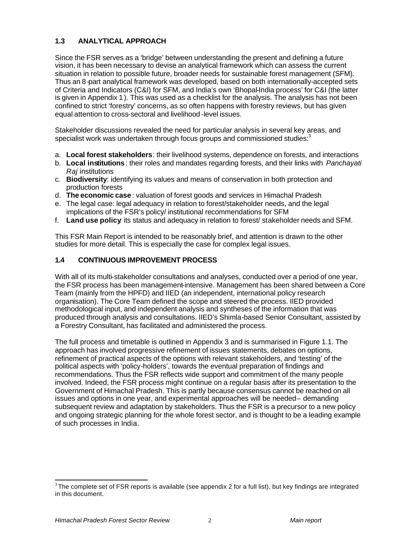# **1.3 ANALYTICAL APPROACH**

Since the FSR serves as a 'bridge' between understanding the present and defining a future vision, it has been necessary to devise an analytical framework which can assess the current situation in relation to possible future, broader needs for sustainable forest management (SFM). Thus an 8-part analytical framework was developed, based on both internationally-accepted sets of Criteria and Indicators (C&I) for SFM, and India's own 'Bhopal-India process' for C&I (the latter is given in Appendix 1). This was used as a checklist for the analysis. The analysis has not been confined to strict 'forestry' concerns, as so often happens with forestry reviews, but has given equal attention to cross-sectoral and livelihood-level issues.

Stakeholder discussions revealed the need for particular analysis in several key areas, and specialist work was undertaken through focus groups and commissioned studies:<sup>3</sup>

- a. **Local forest stakeholders**: their livelihood systems, dependence on forests, and interactions
- b. **Local institutions**: their roles and mandates regarding forests, and their links with *Panchayati Raj* institutions
- c. **Biodiversity**: identifying its values and means of conservation in both protection and production forests
- d. **The economic case**: valuation of forest goods and services in Himachal Pradesh
- e. The legal case: legal adequacy in relation to forest/stakeholder needs, and the legal implications of the FSR's policy/ institutional recommendations for SFM
- f. **Land use policy**: its status and adequacy in relation to forest/ stakeholder needs and SFM.

This FSR Main Report is intended to be reasonably brief, and attention is drawn to the other studies for more detail. This is especially the case for complex legal issues.

## **1.4 CONTINUOUS IMPROVEMENT PROCESS**

With all of its multi-stakeholder consultations and analyses, conducted over a period of one year, the FSR process has been management-intensive. Management has been shared between a Core Team (mainly from the HPFD) and IIED (an independent, international policy research organisation). The Core Team defined the scope and steered the process. IIED provided methodological input, and independent analysis and syntheses of the information that was produced through analysis and consultations. IIED's Shimla-based Senior Consultant, assisted by a Forestry Consultant, has facilitated and administered the process.

The full process and timetable is outlined in Appendix 3 and is summarised in Figure 1.1. The approach has involved progressive refinement of issues statements, debates on options, refinement of practical aspects of the options with relevant stakeholders, and 'testing' of the political aspects with 'policy-holders', towards the eventual preparation of findings and recommendations. Thus the FSR reflects wide support and commitment of the many people involved. Indeed, the FSR process might continue on a regular basis after its presentation to the Government of Himachal Pradesh. This is partly because consensus cannot be reached on all issues and options in one year, and experimental approaches will be needed- demanding subsequent review and adaptation by stakeholders. Thus the FSR is a precursor to a new policy and ongoing strategic planning for the whole forest sector, and is thought to be a leading example of such processes in India.

l

 $3$ The complete set of FSR reports is available (see appendix 2 for a full list), but key findings are integrated in this document.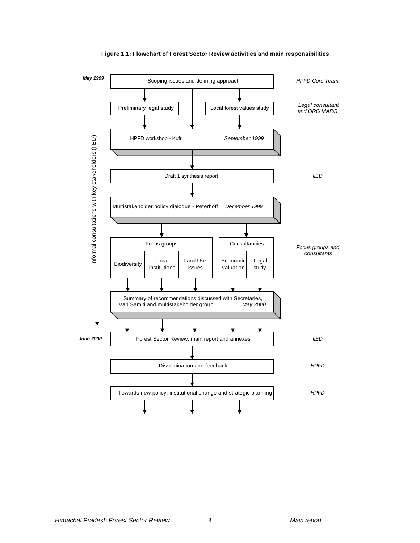

**Figure 1.1: Flowchart of Forest Sector Review activities and main responsibilities**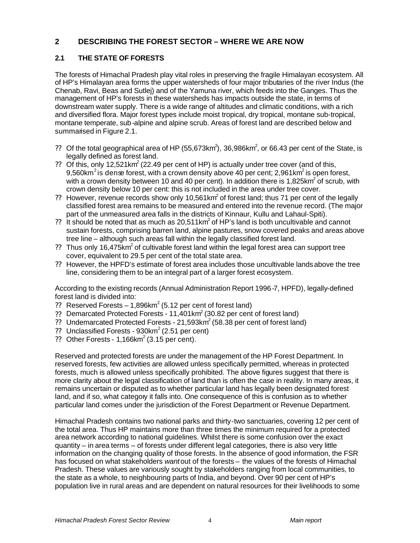# **2 DESCRIBING THE FOREST SECTOR – WHERE WE ARE NOW**

# **2.1 THE STATE OF FORESTS**

The forests of Himachal Pradesh play vital roles in preserving the fragile Himalayan ecosystem. All of HP's Himalayan area forms the upper watersheds of four major tributaries of the river Indus (the Chenab, Ravi, Beas and Sutlej) and of the Yamuna river, which feeds into the Ganges. Thus the management of HP's forests in these watersheds has impacts outside the state, in terms of downstream water supply. There is a wide range of altitudes and climatic conditions, with a rich and diversified flora. Major forest types include moist tropical, dry tropical, montane sub-tropical, montane temperate, sub-alpine and alpine scrub. Areas of forest land are described below and summarised in Figure 2.1.

- ?? Of the total geographical area of HP (55,673km<sup>2</sup>), 36,986km<sup>2</sup>, or 66.43 per cent of the State, is legally defined as forest land.
- ?? Of this, only 12,521 km<sup>2</sup> (22.49 per cent of HP) is actually under tree cover (and of this, 9,560km<sup>2</sup> is dense forest, with a crown density above 40 per cent; 2,961km<sup>2</sup> is open forest, with a crown density between 10 and 40 per cent). In addition there is 1,825km<sup>2</sup> of scrub, with crown density below 10 per cent: this is not included in the area under tree cover.
- ?? However, revenue records show only 10,561 $km^2$  of forest land; thus 71 per cent of the legally classified forest area remains to be measured and entered into the revenue record. (The major part of the unmeasured area falls in the districts of Kinnaur, Kullu and Lahaul-Spiti).
- ?? It should be noted that as much as  $20,511 \text{km}^2$  of HP's land is both uncultivable and cannot sustain forests, comprising barren land, alpine pastures, snow covered peaks and areas above tree line – although such areas fall within the legally classified forest land.
- ?? Thus only 16,475 $km^2$  of cultivable forest land within the legal forest area can support tree cover, equivalent to 29.5 per cent of the total state area.
- ?? However, the HPFD's estimate of forest area includes those uncultivable lands above the tree line, considering them to be an integral part of a larger forest ecosystem.

According to the existing records (Annual Administration Report 1996-7, HPFD), legally-defined forest land is divided into:

- ?? Reserved Forests  $-1,896$ km<sup>2</sup> (5.12 per cent of forest land)
- ?? Demarcated Protected Forests 11,401 $km^2$  (30.82 per cent of forest land)
- ?? Undemarcated Protected Forests 21,593 $km^2$  (58.38 per cent of forest land)
- ?? Unclassified Forests  $930 \text{km}^2$  (2.51 per cent)
- ?? Other Forests 1,166 $km^2$  (3.15 per cent).

Reserved and protected forests are under the management of the HP Forest Department. In reserved forests, few activities are allowed unless specifically permitted, whereas in protected forests, much is allowed unless specifically prohibited. The above figures suggest that there is more clarity about the legal classification of land than is often the case in reality. In many areas, it remains uncertain or disputed as to whether particular land has legally been designated forest land, and if so, what category it falls into. One consequence of this is confusion as to whether particular land comes under the jurisdiction of the Forest Department or Revenue Department.

Himachal Pradesh contains two national parks and thirty-two sanctuaries, covering 12 per cent of the total area. Thus HP maintains more than three times the minimum required for a protected area network according to national guidelines. Whilst there is some confusion over the exact quantity – in area terms – of forests under different legal categories, there is also very little information on the changing quality of those forests. In the absence of good information, the FSR has focused on what stakeholders *want* out of the forests – the values of the forests of Himachal Pradesh. These values are variously sought by stakeholders ranging from local communities, to the state as a whole, to neighbouring parts of India, and beyond. Over 90 per cent of HP's population live in rural areas and are dependent on natural resources for their livelihoods to some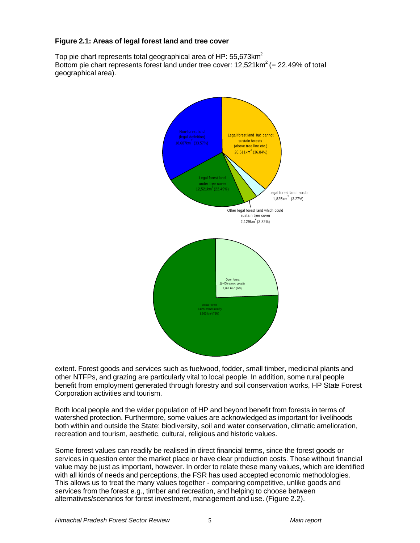## **Figure 2.1: Areas of legal forest land and tree cover**

Top pie chart represents total geographical area of HP: 55,673 $km^2$ Bottom pie chart represents forest land under tree cover:  $12,521$ km<sup>2</sup> (= 22.49% of total geographical area).



extent. Forest goods and services such as fuelwood, fodder, small timber, medicinal plants and other NTFPs, and grazing are particularly vital to local people. In addition, some rural people benefit from employment generated through forestry and soil conservation works, HP State Forest Corporation activities and tourism.

Both local people and the wider population of HP and beyond benefit from forests in terms of watershed protection. Furthermore, some values are acknowledged as important for livelihoods both within and outside the State: biodiversity, soil and water conservation, climatic amelioration, recreation and tourism, aesthetic, cultural, religious and historic values.

Some forest values can readily be realised in direct financial terms, since the forest goods or services in question enter the market place or have clear production costs. Those without financial value may be just as important, however. In order to relate these many values, which are identified with all kinds of needs and perceptions, the FSR has used accepted economic methodologies. This allows us to treat the many values together - comparing competitive, unlike goods and services from the forest e.g., timber and recreation, and helping to choose between alternatives/scenarios for forest investment, management and use. (Figure 2.2).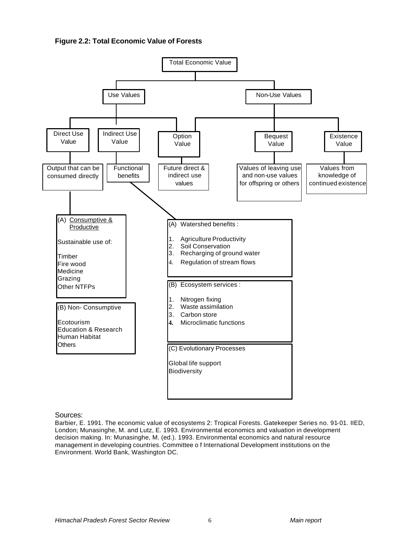



Sources:

Barbier, E. 1991. The economic value of ecosystems 2: Tropical Forests. Gatekeeper Series no. 91-01. IIED, London; Munasinghe, M. and Lutz, E. 1993. Environmental economics and valuation in development decision making. In: Munasinghe, M. (ed.). 1993. Environmental economics and natural resource management in developing countries. Committee o f International Development institutions on the Environment. World Bank, Washington DC.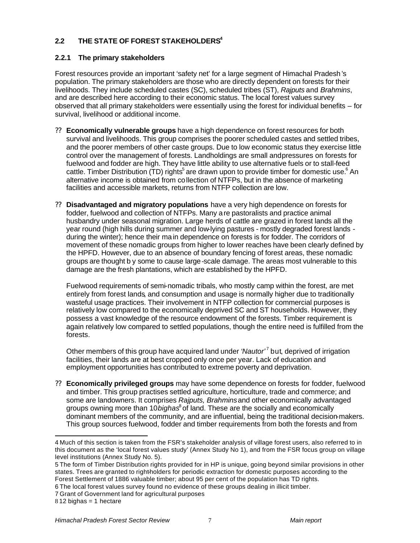# **2.2 THE STATE OF FOREST STAKEHOLDERS<sup>4</sup>**

## **2.2.1 The primary stakeholders**

Forest resources provide an important 'safety net' for a large segment of Himachal Pradesh's population. The primary stakeholders are those who are directly dependent on forests for their livelihoods. They include scheduled castes (SC), scheduled tribes (ST), *Rajputs* and *Brahmins*, and are described here according to their economic status. The local forest values survey observed that all primary stakeholders were essentially using the forest for individual benefits – for survival, livelihood or additional income.

- ?? **Economically vulnerable groups** have a high dependence on forest resources for both survival and livelihoods. This group comprises the poorer scheduled castes and settled tribes, and the poorer members of other caste groups. Due to low economic status they exercise little control over the management of forests. Landholdings are small and pressures on forests for fuelwood and fodder are high. They have little ability to use alternative fuels or to stall-feed cattle. Timber Distribution (TD) rights<sup>5</sup> are drawn upon to provide timber for domestic use.<sup>6</sup> An alternative income is obtained from collection of NTFPs, but in the absence of marketing facilities and accessible markets, returns from NTFP collection are low.
- ?? **Disadvantaged and migratory populations** have a very high dependence on forests for fodder, fuelwood and collection of NTFPs. Many are pastoralists and practice animal husbandry under seasonal migration. Large herds of cattle are grazed in forest lands all the year round (high hills during summer and low-lying pastures - mostly degraded forest lands during the winter); hence their main dependence on forests is for fodder. The corridors of movement of these nomadic groups from higher to lower reaches have been clearly defined by the HPFD. However, due to an absence of boundary fencing of forest areas, these nomadic groups are thought b y some to cause large-scale damage. The areas most vulnerable to this damage are the fresh plantations, which are established by the HPFD.

Fuelwood requirements of semi-nomadic tribals, who mostly camp within the forest, are met entirely from forest lands, and consumption and usage is normally higher due to traditionally wasteful usage practices. Their involvement in NTFP collection for commercial purposes is relatively low compared to the economically deprived SC and ST households. However, they possess a vast knowledge of the resource endowment of the forests. Timber requirement is again relatively low compared to settled populations, though the entire need is fulfilled from the forests.

Other members of this group have acquired land under 'Nautor'<sup>7</sup> but, deprived of irrigation facilities, their lands are at best cropped only once per year. Lack of education and employment opportunities has contributed to extreme poverty and deprivation.

?? **Economically privileged groups** may have some dependence on forests for fodder, fuelwood and timber. This group practises settled agriculture, horticulture, trade and commerce; and some are landowners. It comprises *Rajputs, Brahmins* and other economically advantaged groups owning more than 10 *bighas*<sup>8</sup> of land. These are the socially and economically dominant members of the community, and are influential, being the traditional decision-makers. This group sources fuelwood, fodder and timber requirements from both the forests and from

7 Grant of Government land for agricultural purposes

l

<sup>4</sup> Much of this section is taken from the FSR's stakeholder analysis of village forest users, also referred to in this document as the 'local forest values study' (Annex Study No 1), and from the FSR focus group on village level institutions (Annex Study No. 5).

<sup>5</sup> The form of Timber Distribution rights provided for in HP is unique, going beyond similar provisions in other states. Trees are granted to right-holders for periodic extraction for domestic purposes according to the Forest Settlement of 1886 valuable timber; about 95 per cent of the population has TD rights.

<sup>6</sup> The local forest values survey found no evidence of these groups dealing in illicit timber.

 $812$  bighas = 1 hectare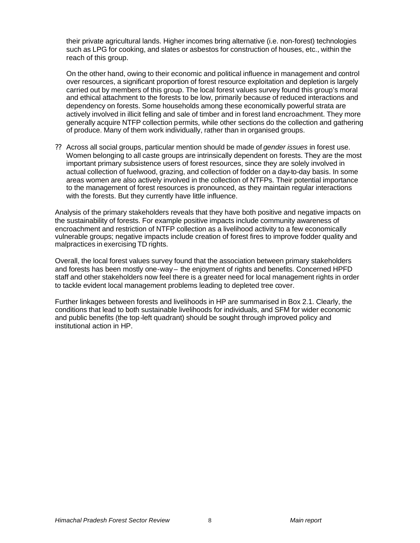their private agricultural lands. Higher incomes bring alternative (i.e. non-forest) technologies such as LPG for cooking, and slates or asbestos for construction of houses, etc., within the reach of this group.

On the other hand, owing to their economic and political influence in management and control over resources, a significant proportion of forest resource exploitation and depletion is largely carried out by members of this group. The local forest values survey found this group's moral and ethical attachment to the forests to be low, primarily because of reduced interactions and dependency on forests. Some households among these economically powerful strata are actively involved in illicit felling and sale of timber and in forest land encroachment. They more generally acquire NTFP collection permits, while other sections do the collection and gathering of produce. Many of them work individually, rather than in organised groups.

?? Across all social groups, particular mention should be made of *gender issues* in forest use. Women belonging to all caste groups are intrinsically dependent on forests. They are the most important primary subsistence users of forest resources, since they are solely involved in actual collection of fuelwood, grazing, and collection of fodder on a day-to-day basis. In some areas women are also actively involved in the collection of NTFPs. Their potential importance to the management of forest resources is pronounced, as they maintain regular interactions with the forests. But they currently have little influence.

Analysis of the primary stakeholders reveals that they have both positive and negative impacts on the sustainability of forests. For example positive impacts include community awareness of encroachment and restriction of NTFP collection as a livelihood activity to a few economically vulnerable groups; negative impacts include creation of forest fires to improve fodder quality and malpractices in exercising TD rights.

Overall, the local forest values survey found that the association between primary stakeholders and forests has been mostly one-way – the enjoyment of rights and benefits. Concerned HPFD staff and other stakeholders now feel there is a greater need for local management rights in order to tackle evident local management problems leading to depleted tree cover.

Further linkages between forests and livelihoods in HP are summarised in Box 2.1. Clearly, the conditions that lead to both sustainable livelihoods for individuals, and SFM for wider economic and public benefits (the top-left quadrant) should be sought through improved policy and institutional action in HP.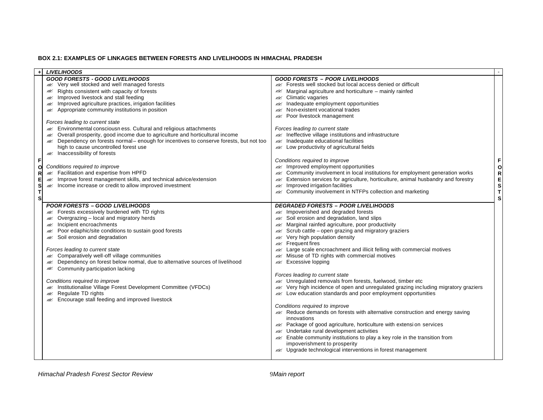#### **BOX 2.1: EXAMPLES OF LINKAGES BETWEEN FORESTS AND LIVELIHOODS IN HIMACHAL PRADESH**

|        | <b>LIVELIHOODS</b>                                                                                                                   |                                                                                                                                                                           |        |
|--------|--------------------------------------------------------------------------------------------------------------------------------------|---------------------------------------------------------------------------------------------------------------------------------------------------------------------------|--------|
|        | <b>GOOD FORESTS - GOOD LIVELIHOODS</b>                                                                                               | <b>GOOD FORESTS - POOR LIVELIHOODS</b>                                                                                                                                    |        |
|        | <b>Example 13</b> Very well stocked and well managed forests                                                                         | <b>Exacement</b> Forests well stocked but local access denied or difficult                                                                                                |        |
|        | <b>EXECUTE:</b> Rights consistent with capacity of forests                                                                           | Marginal agriculture and horticulture - mainly rainfed                                                                                                                    |        |
|        | <b>Allen State Improved livestock and stall feeding</b>                                                                              | <b>exces</b> Climatic vagaries                                                                                                                                            |        |
|        | <b>ALCOREGIST IMPROVED AGAINATION</b> practices, irrigation facilities                                                               | and Inadequate employment opportunities                                                                                                                                   |        |
|        | Appropriate community institutions in position                                                                                       | Mon-existent vocational trades                                                                                                                                            |        |
|        |                                                                                                                                      | Rest Poor livestock management                                                                                                                                            |        |
|        | Forces leading to current state                                                                                                      |                                                                                                                                                                           |        |
|        | Environmental consciousn ess. Cultural and religious attachments                                                                     | Forces leading to current state                                                                                                                                           |        |
|        | Overall prosperity, good income due to agriculture and horticultural income<br>₩                                                     | All Ineffective village institutions and infrastructure                                                                                                                   |        |
|        | Dependency on forests normal – enough for incentives to conserve forests, but not too<br>B.<br>high to cause uncontrolled forest use | as Inadequate educational facilities                                                                                                                                      |        |
|        | and Inaccessibility of forests                                                                                                       | <b>Example 10</b> Low productivity of agricultural fields                                                                                                                 |        |
|        |                                                                                                                                      |                                                                                                                                                                           |        |
| F      |                                                                                                                                      | Conditions required to improve                                                                                                                                            | F      |
| O      | Conditions required to improve<br>Executive in and expertise from HPFD                                                               | mproved employment opportunities                                                                                                                                          | O      |
| R<br>Е | Improve forest management skills, and technical advice/extension                                                                     | Community involvement in local institutions for employment generation works<br>Ø<br>Extension services for agriculture, horticulture, animal husbandry and forestry<br>Ø. | R<br>Е |
| S      | Æ<br>Income increase or credit to allow improved investment                                                                          | Improved irrigation facilities<br>Ø.                                                                                                                                      | S      |
| T      |                                                                                                                                      | <b>Example 20</b> Community involvement in NTFPs collection and marketing                                                                                                 | Т      |
| S      |                                                                                                                                      |                                                                                                                                                                           | S      |
|        | <b>POOR FORESTS - GOOD LIVELIHOODS</b>                                                                                               | <b>DEGRADED FORESTS - POOR LIVELIHOODS</b>                                                                                                                                |        |
|        | Exact Forests excessively burdened with TD rights                                                                                    | Impoverished and degraded forests                                                                                                                                         |        |
|        | Overgrazing – local and migratory herds<br>B.                                                                                        | Soil erosion and degradation, land slips                                                                                                                                  |        |
|        | Incipient encroachments<br>B.                                                                                                        | Marginal rainfed agriculture, poor productivity                                                                                                                           |        |
|        | Poor edaphic/site conditions to sustain good forests<br>Æ                                                                            | & Scrub cattle - open grazing and migratory graziers                                                                                                                      |        |
|        | Soil erosion and degradation                                                                                                         | Very high population density<br>Ø.                                                                                                                                        |        |
|        |                                                                                                                                      | <b>ASK</b> Frequent fires                                                                                                                                                 |        |
|        | Forces leading to current state                                                                                                      | Large scale encroachment and illicit felling with commercial motives                                                                                                      |        |
|        | & Comparatively well-off village communities                                                                                         | Misuse of TD rights with commercial motives<br>Ø.                                                                                                                         |        |
|        | Dependency on forest below normal, due to alternative sources of livelihood<br>B.                                                    | <b>Excessive lopping</b>                                                                                                                                                  |        |
|        | & Community participation lacking                                                                                                    |                                                                                                                                                                           |        |
|        |                                                                                                                                      | Forces leading to current state                                                                                                                                           |        |
|        | Conditions required to improve                                                                                                       | Ex Unregulated removals from forests, fuelwood, timber etc                                                                                                                |        |
|        | Institutionalise Village Forest Development Committee (VFDCs)<br>Æ                                                                   | Very high incidence of open and unregulated grazing including migratory graziers<br>Ø.                                                                                    |        |
|        | Regulate TD rights<br>Æ                                                                                                              | Low education standards and poor employment opportunities                                                                                                                 |        |
|        | Encourage stall feeding and improved livestock                                                                                       |                                                                                                                                                                           |        |
|        |                                                                                                                                      | Conditions required to improve                                                                                                                                            |        |
|        |                                                                                                                                      | Reduce demands on forests with alternative construction and energy saving                                                                                                 |        |
|        |                                                                                                                                      | innovations                                                                                                                                                               |        |
|        |                                                                                                                                      | A Package of good agriculture, horticulture with extension services                                                                                                       |        |
|        |                                                                                                                                      | & Undertake rural development activities                                                                                                                                  |        |
|        |                                                                                                                                      | Enable community institutions to play a key role in the transition from                                                                                                   |        |
|        |                                                                                                                                      | impoverishment to prosperity                                                                                                                                              |        |
|        |                                                                                                                                      | Diperade technological interventions in forest management                                                                                                                 |        |
|        |                                                                                                                                      |                                                                                                                                                                           |        |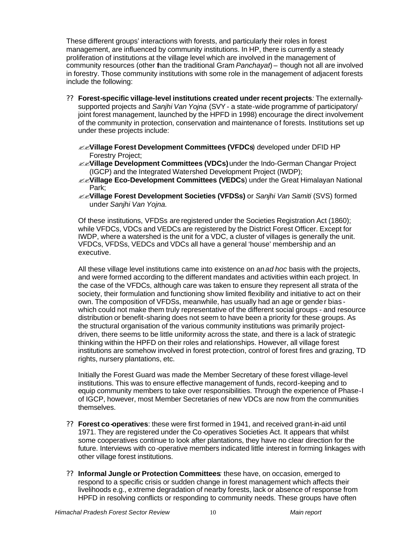These different groups' interactions with forests, and particularly their roles in forest management, are influenced by community institutions. In HP, there is currently a steady proliferation of institutions at the village level which are involved in the management of community resources (other than the traditional Gram *Panchayat*) – though not all are involved in forestry. Those community institutions with some role in the management of adjacent forests include the following:

- ?? **Forest-specific village-level institutions created under recent projects***:* The externallysupported projects and *Sanjhi Van Yojna* (SVY - a state-wide programme of participatory/ joint forest management, launched by the HPFD in 1998) encourage the direct involvement of the community in protection, conservation and maintenance of forests. Institutions set up under these projects include:
	- ??**Village Forest Development Committees (VFDCs**) developed under DFID HP Forestry Project;
	- ??**Village Development Committees (VDCs)** under the Indo-German Changar Project (IGCP) and the Integrated Watershed Development Project (IWDP);
	- ??**Village Eco-Development Committees (VEDCs**) under the Great Himalayan National Park;
	- ??**Village Forest Development Societies (VFDSs)** or *Sanjhi Van Samiti* (SVS) formed under *Sanjhi Van Yojna.*

Of these institutions, VFDSs are registered under the Societies Registration Act (1860); while VFDCs, VDCs and VEDCs are registered by the District Forest Officer. Except for IWDP, where a watershed is the unit for a VDC, a cluster of villages is generally the unit. VFDCs, VFDSs, VEDCs and VDCs all have a general 'house' membership and an executive.

All these village level institutions came into existence on an *ad hoc* basis with the projects, and were formed according to the different mandates and activities within each project. In the case of the VFDCs, although care was taken to ensure they represent all strata of the society, their formulation and functioning show limited flexibility and initiative to act on their own. The composition of VFDSs, meanwhile, has usually had an age or gender bias which could not make them truly representative of the different social groups - and resource distribution or benefit-sharing does not seem to have been a priority for these groups. As the structural organisation of the various community institutions was primarily projectdriven, there seems to be little uniformity across the state, and there is a lack of strategic thinking within the HPFD on their roles and relationships. However, all village forest institutions are somehow involved in forest protection, control of forest fires and grazing, TD rights, nursery plantations, etc.

Initially the Forest Guard was made the Member Secretary of these forest village-level institutions. This was to ensure effective management of funds, record-keeping and to equip community members to take over responsibilities. Through the experience of Phase-I of IGCP, however, most Member Secretaries of new VDCs are now from the communities themselves.

- ?? **Forest co-operatives**: these were first formed in 1941, and received grant-in-aid until 1971. They are registered under the Co-operatives Societies Act. It appears that whilst some cooperatives continue to look after plantations, they have no clear direction for the future. Interviews with co-operative members indicated little interest in forming linkages with other village forest institutions.
- ?? **Informal Jungle or Protection Committees***:* these have, on occasion, emerged to respond to a specific crisis or sudden change in forest management which affects their livelihoods e.g., extreme degradation of nearby forests, lack or absence of response from HPFD in resolving conflicts or responding to community needs. These groups have often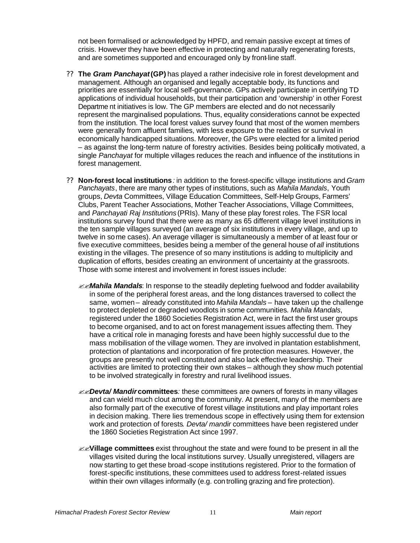not been formalised or acknowledged by HPFD, and remain passive except at times of crisis. However they have been effective in protecting and naturally regenerating forests, and are sometimes supported and encouraged only by front-line staff.

- ?? **The** *Gram Panchayat* **(GP)** has played a rather indecisive role in forest development and management. Although an organised and legally acceptable body, its functions and priorities are essentially for local self-governance. GPs actively participate in certifying TD applications of individual households, but their participation and 'ownership' in other Forest Departme nt initiatives is low. The GP members are elected and do not necessarily represent the marginalised populations. Thus, equality considerations cannot be expected from the institution. The local forest values survey found that most of the women members were generally from affluent families, with less exposure to the realities or survival in economically handicapped situations. Moreover, the GPs were elected for a limited period – as against the long-term nature of forestry activities. Besides being politically motivated, a single *Panchayat* for multiple villages reduces the reach and influence of the institutions in forest management.
- ?? **Non-forest local institutions***:* in addition to the forest-specific village institutions and *Gram Panchayats*, there are many other types of institutions, such as *Mahila Mandals*, Youth groups, *Devta* Committees, Village Education Committees, Self-Help Groups, Farmers' Clubs, Parent Teacher Associations, Mother Teacher Associations, Village Committees, and *Panchayati Raj Institutions* (PRIs). Many of these play forest roles. The FSR local institutions survey found that there were as many as 65 different village level institutions in the ten sample villages surveyed (an average of six institutions in every village, and up to twelve in some cases). An average villager is simultaneously a member of at least four or five executive committees, besides being a member of the general house of *all* institutions existing in the villages. The presence of so many institutions is adding to multiplicity and duplication of efforts, besides creating an environment of uncertainty at the grassroots. Those with some interest and involvement in forest issues include:
	- ??*Mahila Mandals*: In response to the steadily depleting fuelwood and fodder availability in some of the peripheral forest areas, and the long distances traversed to collect the same, women – already constituted into *Mahila Mandals* – have taken up the challenge to protect depleted or degraded woodlots in some communities*. Mahila Mandals*, registered under the 1860 Societies Registration Act, were in fact the first user groups to become organised, and to act on forest management issues affecting them. They have a critical role in managing forests and have been highly successful due to the mass mobilisation of the village women. They are involved in plantation establishment, protection of plantations and incorporation of fire protection measures. However, the groups are presently not well constituted and also lack effective leadership. Their activities are limited to protecting their own stakes – although they show much potential to be involved strategically in forestry and rural livelihood issues.
	- ??*Devta/ Mandir* **committees***:* these committees are owners of forests in many villages and can wield much clout among the community. At present, many of the members are also formally part of the executive of forest village institutions and play important roles in decision making. There lies tremendous scope in effectively using them for extension work and protection of forests*. Devta/ mandir* committees have been registered under the 1860 Societies Registration Act since 1997.
	- ??**Village committees** exist throughout the state and were found to be present in all the villages visited during the local institutions survey. Usually unregistered, villagers are now starting to get these broad-scope institutions registered. Prior to the formation of forest-specific institutions, these committees used to address forest-related issues within their own villages informally (e.g. controlling grazing and fire protection).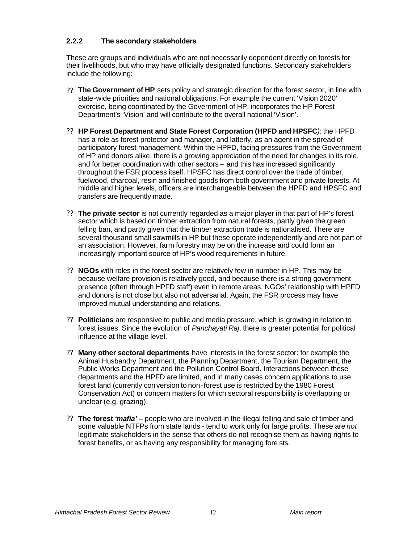# **2.2.2 The secondary stakeholders**

These are groups and individuals who are not necessarily dependent directly on forests for their livelihoods, but who may have officially designated functions. Secondary stakeholders include the following:

- ?? **The Government of HP** sets policy and strategic direction for the forest sector, in line with state-wide priorities and national obligations. For example the current 'Vision 2020' exercise, being coordinated by the Government of HP, incorporates the HP Forest Department's 'Vision' and will contribute to the overall national 'Vision'.
- ?? **HP Forest Department and State Forest Corporation (HPFD and HPSFC***)*: the HPFD has a role as forest protector and manager, and latterly, as an agent in the spread of participatory forest management. Within the HPFD, facing pressures from the Government of HP and donors alike, there is a growing appreciation of the need for changes in its role, and for better coordination with other sectors – and this has increased significantly throughout the FSR process itself. HPSFC has direct control over the trade of timber, fuelwood, charcoal, resin and finished goods from both government and private forests. At middle and higher levels, officers are interchangeable between the HPFD and HPSFC and transfers are frequently made.
- ?? **The private sector** is not currently regarded as a major player in that part of HP's forest sector which is based on timber extraction from natural forests, partly given the green felling ban, and partly given that the timber extraction trade is nationalised. There are several thousand small sawmills in HP but these operate independently and are not part of an association. However, farm forestry may be on the increase and could form an increasingly important source of HP's wood requirements in future.
- ?? **NGOs** with roles in the forest sector are relatively few in number in HP. This may be because welfare provision is relatively good, and because there is a strong government presence (often through HPFD staff) even in remote areas. NGOs' relationship with HPFD and donors is not close but also not adversarial. Again, the FSR process may have improved mutual understanding and relations.
- ?? **Politicians** are responsive to public and media pressure, which is growing in relation to forest issues. Since the evolution of *Panchayati Raj*, there is greater potential for political influence at the village level.
- ?? **Many other sectoral departments** have interests in the forest sector: for example the Animal Husbandry Department, the Planning Department, the Tourism Department, the Public Works Department and the Pollution Control Board. Interactions between these departments and the HPFD are limited, and in many cases concern applications to use forest land (currently conversion to non -forest use is restricted by the 1980 Forest Conservation Act) or concern matters for which sectoral responsibility is overlapping or unclear (e.g. grazing).
- ?? **The forest** *'mafia'* people who are involved in the illegal felling and sale of timber and some valuable NTFPs from state lands - tend to work only for large profits. These are *not*  legitimate stakeholders in the sense that others do not recognise them as having rights to forest benefits, or as having any responsibility for managing fore sts.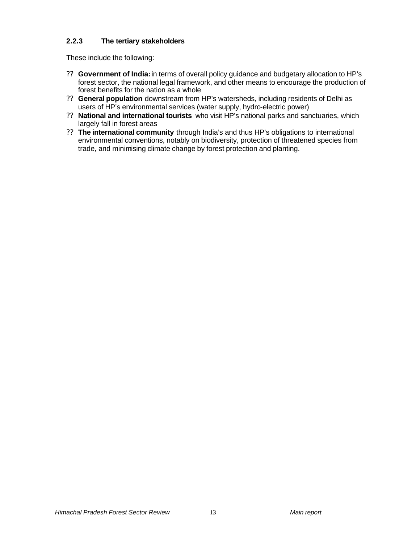# **2.2.3 The tertiary stakeholders**

These include the following:

- ?? **Government of India:** in terms of overall policy guidance and budgetary allocation to HP's forest sector, the national legal framework, and other means to encourage the production of forest benefits for the nation as a whole
- ?? **General population** downstream from HP's watersheds, including residents of Delhi as users of HP's environmental services (water supply, hydro-electric power)
- ?? **National and international tourists** who visit HP's national parks and sanctuaries, which largely fall in forest areas
- ?? **The international community** through India's and thus HP's obligations to international environmental conventions, notably on biodiversity, protection of threatened species from trade, and minimising climate change by forest protection and planting.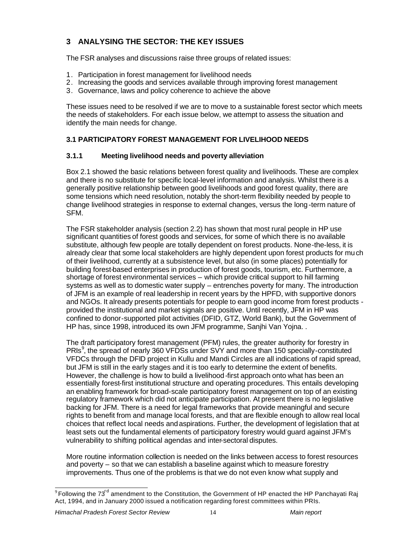# **3 ANALYSING THE SECTOR: THE KEY ISSUES**

The FSR analyses and discussions raise three groups of related issues:

- 1. Participation in forest management for livelihood needs
- 2. Increasing the goods and services available through improving forest management
- 3. Governance, laws and policy coherence to achieve the above

These issues need to be resolved if we are to move to a sustainable forest sector which meets the needs of stakeholders. For each issue below, we attempt to assess the situation and identify the main needs for change.

# **3.1 PARTICIPATORY FOREST MANAGEMENT FOR LIVELIHOOD NEEDS**

# **3.1.1 Meeting livelihood needs and poverty alleviation**

Box 2.1 showed the basic relations between forest quality and livelihoods. These are complex and there is no substitute for specific local-level information and analysis. Whilst there is a generally positive relationship between good livelihoods and good forest quality, there are some tensions which need resolution, notably the short-term flexibility needed by people to change livelihood strategies in response to external changes, versus the long-term nature of SFM.

The FSR stakeholder analysis (section 2.2) has shown that most rural people in HP use significant quantities of forest goods and services, for some of which there is no available substitute, although few people are totally dependent on forest products. None-the-less, it is already clear that some local stakeholders are highly dependent upon forest products for much of their livelihood, currently at a subsistence level, but also (in some places) potentially for building forest-based enterprises in production of forest goods, tourism, etc. Furthermore, a shortage of forest environmental services – which provide critical support to hill farming systems as well as to domestic water supply – entrenches poverty for many. The introduction of JFM is an example of real leadership in recent years by the HPFD, with supportive donors and NGOs. It already presents potentials for people to earn good income from forest products provided the institutional and market signals are positive. Until recently, JFM in HP was confined to donor-supported pilot activities (DFID, GTZ, World Bank), but the Government of HP has, since 1998, introduced its own JFM programme, Sanjhi Van Yojna. .

The draft participatory forest management (PFM) rules, the greater authority for forestry in PRIs<sup>9</sup>, the spread of nearly 360 VFDSs under SVY and more than 150 specially-constituted VFDCs through the DFID project in Kullu and Mandi Circles are all indications of rapid spread, but JFM is still in the early stages and it is too early to determine the extent of benefits. However, the challenge is how to build a livelihood-first approach onto what has been an essentially forest-first institutional structure and operating procedures. This entails developing an enabling framework for broad-scale participatory forest management on top of an existing regulatory framework which did not anticipate participation. At present there is no legislative backing for JFM. There is a need for legal frameworks that provide meaningful and secure rights to benefit from and manage local forests, and that are flexible enough to allow real local choices that reflect local needs and aspirations. Further, the development of legislation that at least sets out the fundamental elements of participatory forestry would guard against JFM's vulnerability to shifting political agendas and inter-sectoral disputes.

More routine information collection is needed on the links between access to forest resources and poverty – so that we can establish a baseline against which to measure forestry improvements. Thus one of the problems is that we do not even know what supply and

 $^9$ Following the 73<sup>rd</sup> amendment to the Constitution, the Government of HP enacted the HP Panchayati Raj Act, 1994, and in January 2000 issued a notification regarding forest committees within PRIs.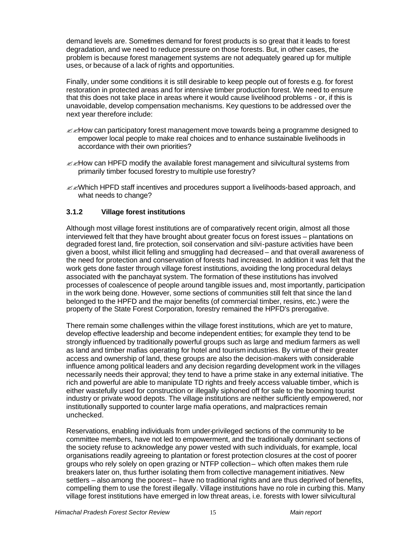demand levels are. Sometimes demand for forest products is so great that it leads to forest degradation, and we need to reduce pressure on those forests. But, in other cases, the problem is because forest management systems are not adequately geared up for multiple uses, or because of a lack of rights and opportunities.

Finally, under some conditions it is still desirable to keep people out of forests e.g. for forest restoration in protected areas and for intensive timber production forest. We need to ensure that this does not take place in areas where it would cause livelihood problems - or, if this is unavoidable, develop compensation mechanisms. Key questions to be addressed over the next year therefore include:

- $\mathbb{Z}$  How can participatory forest management move towards being a programme designed to empower local people to make real choices and to enhance sustainable livelihoods in accordance with their own priorities?
- $\mathscr{B}$  How can HPFD modify the available forest management and silvicultural systems from primarily timber focused forestry to multiple use forestry?
- $\ll$  Mhich HPFD staff incentives and procedures support a livelihoods-based approach, and what needs to change?

## **3.1.2 Village forest institutions**

Although most village forest institutions are of comparatively recent origin, almost all those interviewed felt that they have brought about greater focus on forest issues – plantations on degraded forest land, fire protection, soil conservation and silvi-pasture activities have been given a boost, whilst illicit felling and smuggling had decreased – and that overall awareness of the need for protection and conservation of forests had increased. In addition it was felt that the work gets done faster through village forest institutions, avoiding the long procedural delays associated with the panchayat system. The formation of these institutions has involved processes of coalescence of people around tangible issues and, most importantly, participation in the work being done. However, some sections of communities still felt that since the land belonged to the HPFD and the major benefits (of commercial timber, resins, etc.) were the property of the State Forest Corporation, forestry remained the HPFD's prerogative.

There remain some challenges within the village forest institutions, which are yet to mature, develop effective leadership and become independent entities; for example they tend to be strongly influenced by traditionally powerful groups such as large and medium farmers as well as land and timber mafias operating for hotel and tourism industries. By virtue of their greater access and ownership of land, these groups are also the decision-makers with considerable influence among political leaders and any decision regarding development work in the villages necessarily needs their approval; they tend to have a prime stake in any external initiative. The rich and powerful are able to manipulate TD rights and freely access valuable timber, which is either wastefully used for construction or illegally siphoned off for sale to the booming tourist industry or private wood depots. The village institutions are neither sufficiently empowered, nor institutionally supported to counter large mafia operations, and malpractices remain unchecked.

Reservations, enabling individuals from under-privileged sections of the community to be committee members, have not led to empowerment, and the traditionally dominant sections of the society refuse to acknowledge any power vested with such individuals, for example, local organisations readily agreeing to plantation or forest protection closures at the cost of poorer groups who rely solely on open grazing or NTFP collection – which often makes them rule breakers later on, thus further isolating them from collective management initiatives. New settlers – also among the poorest – have no traditional rights and are thus deprived of benefits, compelling them to use the forest illegally. Village institutions have no role in curbing this. Many village forest institutions have emerged in low threat areas, i.e. forests with lower silvicultural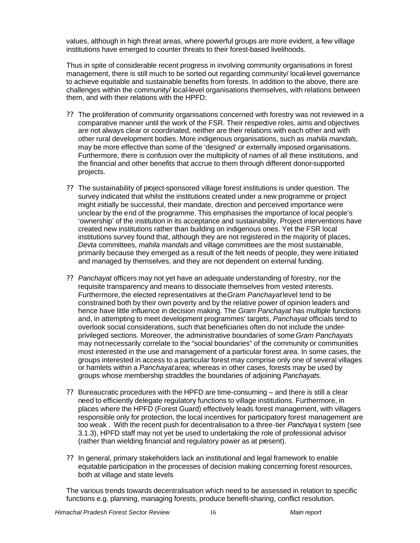values, although in high threat areas, where powerful groups are more evident, a few village institutions have emerged to counter threats to their forest-based livelihoods.

Thus in spite of considerable recent progress in involving community organisations in forest management, there is still much to be sorted out regarding community/ local-level governance to achieve equitable and sustainable benefits from forests. In addition to the above, there are challenges within the community/ local-level organisations themselves, with relations between them, and with their relations with the HPFD:

- ?? The proliferation of community organisations concerned with forestry was not reviewed in a comparative manner until the work of the FSR. Their respective roles, aims and objectives are not always clear or coordinated, neither are their relations with each other and with other rural development bodies. More indigenous organisations, such as *mahila mandals*, may be more effective than some of the 'designed' or externally imposed organisations. Furthermore, there is confusion over the multiplicity of names of all these institutions, and the financial and other benefits that accrue to them through different donor-supported projects.
- ?? The sustainability of project-sponsored village forest institutions is under question. The survey indicated that whilst the institutions created under a new programme or project might initially be successful, their mandate, direction and perceived importance were unclear by the end of the programme. This emphasises the importance of local people's 'ownership' of the institution in its acceptance and sustainability. Project interventions have created new institutions rather than building on indigenous ones. Yet the FSR local institutions survey found that, although they are not registered in the majority of places, *Devta* committees, *mahila mandals* and village committees are the most sustainable, primarily because they emerged as a result of the felt needs of people, they were initiated and managed by themselves, and they are not dependent on external funding.
- ?? *Panchayat* officers may not yet have an adequate understanding of forestry, nor the requisite transparency and means to dissociate themselves from vested interests. Furthermore, the elected representatives at the *Gram Panchayat* level tend to be constrained both by their own poverty and by the relative power of opinion leaders and hence have little influence in decision making. The *Gram Panchayat* has multiple functions and, in attempting to meet development programmes' targets*, Panchayat* officials tend to overlook social considerations, such that beneficiaries often do not include the underprivileged sections. Moreover, the administrative boundaries of some *Gram Panchayats* may not necessarily correlate to the "social boundaries" of the community or communities most interested in the use and management of a particular forest area. In some cases, the groups interested in access to a particular forest may comprise only one of several villages or hamlets within a *Panchayat* area; whereas in other cases, forests may be used by groups whose membership straddles the boundaries of adjoining *Panchayats.*
- ?? Bureaucratic procedures with the HPFD are time-consuming and there is still a clear need to efficiently delegate regulatory functions to village institutions. Furthermore, in places where the HPFD (Forest Guard) effectively leads forest management, with villagers responsible only for protection, the local incentives for participatory forest management are too weak . With the recent push for decentralisation to a three-tier *Panchaya* t system (see 3.1.3), HPFD staff may not yet be used to undertaking the role of professional advisor (rather than wielding financial and regulatory power as at present).
- ?? In general, primary stakeholders lack an institutional and legal framework to enable equitable participation in the processes of decision making concerning forest resources, both at village and state levels

The various trends towards decentralisation which need to be assessed in relation to specific functions e.g. planning, managing forests, produce benefit-sharing, conflict resolution.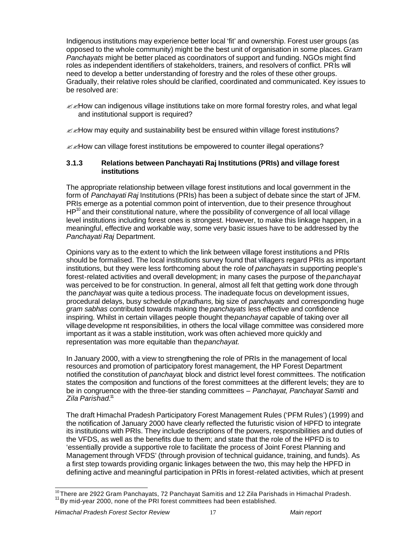Indigenous institutions may experience better local 'fit' and ownership. Forest user groups (as opposed to the whole community) might be the best unit of organisation in some places. *Gram Panchayats* might be better placed as coordinators of support and funding. NGOs might find roles as independent identifiers of stakeholders, trainers, and resolvers of conflict. PRIs will need to develop a better understanding of forestry and the roles of these other groups. Gradually, their relative roles should be clarified, coordinated and communicated. Key issues to be resolved are:

 $\mathbb{Z}$  How can indigenous village institutions take on more formal forestry roles, and what legal and institutional support is required?

 $\ll$ How may equity and sustainability best be ensured within village forest institutions?

 $\ll$ How can village forest institutions be empowered to counter illegal operations?

#### **3.1.3 Relations between Panchayati Raj Institutions (PRIs) and village forest institutions**

The appropriate relationship between village forest institutions and local government in the form of *Panchayati Raj* Institutions (PRIs) has been a subject of debate since the start of JFM. PRIs emerge as a potential common point of intervention, due to their presence throughout  $HP^{10}$  and their constitutional nature, where the possibility of convergence of all local village level institutions including forest ones is strongest. However, to make this linkage happen, in a meaningful, effective and workable way, some very basic issues have to be addressed by the *Panchayati Raj* Department.

Opinions vary as to the extent to which the link between village forest institutions and PRIs should be formalised. The local institutions survey found that villagers regard PRIs as important institutions, but they were less forthcoming about the role of *panchayats* in supporting people's forest-related activities and overall development; in many cases the purpose of the *panchayat* was perceived to be for construction. In general, almost all felt that getting work done through the *panchayat* was quite a tedious process. The inadequate focus on development issues, procedural delays, busy schedule of *pradhans,* big size of *panchayats* and corresponding huge *gram sabhas* contributed towards making the *panchayats* less effective and confidence inspiring. Whilst in certain villages people thought the *panchayat* capable of taking over all village developme nt responsibilities, in others the local village committee was considered more important as it was a stable institution, work was often achieved more quickly and representation was more equitable than the *panchayat.*

In January 2000, with a view to strengthening the role of PRIs in the management of local resources and promotion of participatory forest management, the HP Forest Department notified the constitution of *panchayat*, block and district level forest committees. The notification states the composition and functions of the forest committees at the different levels; they are to be in congruence with the three-tier standing committees – *Panchayat, Panchayat Samiti* and *Zila Parishad.*<sup>11</sup>

The draft Himachal Pradesh Participatory Forest Management Rules ('PFM Rules') (1999) and the notification of January 2000 have clearly reflected the futuristic vision of HPFD to integrate its institutions with PRIs. They include descriptions of the powers, responsibilities and duties of the VFDS, as well as the benefits due to them; and state that the role of the HPFD is to 'essentially provide a supportive role to facilitate the process of Joint Forest Planning and Management through VFDS' (through provision of technical guidance, training, and funds). As a first step towards providing organic linkages between the two, this may help the HPFD in defining active and meaningful participation in PRIs in forest-related activities, which at present

l  $^{10}_{\ldots}$ There are 2922 Gram Panchayats, 72 Panchayat Samitis and 12 Zila Parishads in Himachal Pradesh. <sup>11</sup> By mid-year 2000, none of the PRI forest committees had been established.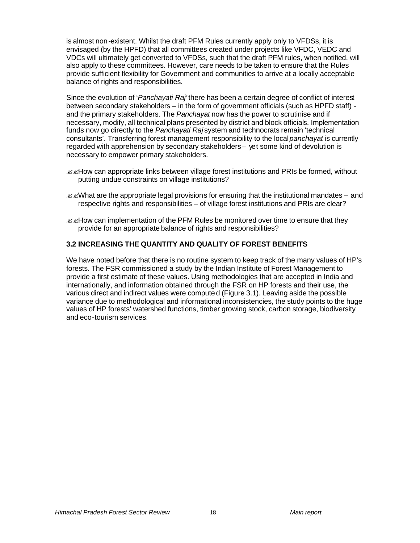is almost non-existent. Whilst the draft PFM Rules currently apply only to VFDSs, it is envisaged (by the HPFD) that all committees created under projects like VFDC, VEDC and VDCs will ultimately get converted to VFDSs, such that the draft PFM rules, when notified, will also apply to these committees. However, care needs to be taken to ensure that the Rules provide sufficient flexibility for Government and communities to arrive at a locally acceptable balance of rights and responsibilities.

Since the evolution of '*Panchayati Raj'* there has been a certain degree of conflict of interest between secondary stakeholders – in the form of government officials (such as HPFD staff) and the primary stakeholders. The *Panchayat* now has the power to scrutinise and if necessary, modify, all technical plans presented by district and block officials. Implementation funds now go directly to the *Panchayati Raj* system and technocrats remain 'technical consultants'. Transferring forest management responsibility to the local *panchayat* is currently regarded with apprehension by secondary stakeholders – yet some kind of devolution is necessary to empower primary stakeholders.

- $\mathscr{B}$ How can appropriate links between village forest institutions and PRIs be formed, without putting undue constraints on village institutions?
- $\ll$  Mhat are the appropriate legal provisions for ensuring that the institutional mandates and respective rights and responsibilities – of village forest institutions and PRIs are clear?
- $\mathscr{A}$ How can implementation of the PFM Rules be monitored over time to ensure that they provide for an appropriate balance of rights and responsibilities?

#### **3.2 INCREASING THE QUANTITY AND QUALITY OF FOREST BENEFITS**

We have noted before that there is no routine system to keep track of the many values of HP's forests. The FSR commissioned a study by the Indian Institute of Forest Management to provide a first estimate of these values. Using methodologies that are accepted in India and internationally, and information obtained through the FSR on HP forests and their use, the various direct and indirect values were computed (Figure 3.1). Leaving aside the possible variance due to methodological and informational inconsistencies, the study points to the huge values of HP forests' watershed functions, timber growing stock, carbon storage, biodiversity and eco-tourism services.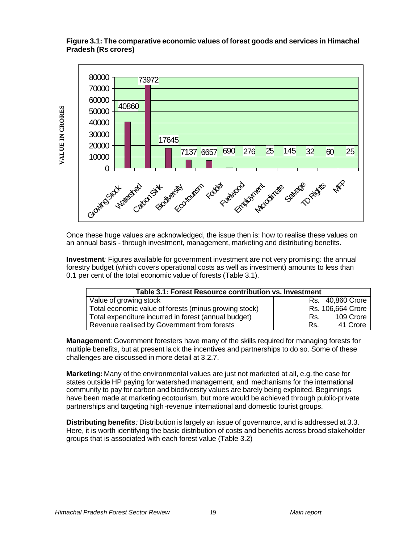## **Figure 3.1: The comparative economic values of forest goods and services in Himachal Pradesh (Rs crores)**



Once these huge values are acknowledged, the issue then is: how to realise these values on an annual basis - through investment, management, marketing and distributing benefits.

**Investment***:* Figures available for government investment are not very promising: the annual forestry budget (which covers operational costs as well as investment) amounts to less than 0.1 per cent of the total economic value of forests (Table 3.1).

| Table 3.1: Forest Resource contribution vs. Investment |                   |  |  |  |  |  |  |
|--------------------------------------------------------|-------------------|--|--|--|--|--|--|
| Value of growing stock                                 | Rs. 40,860 Crore  |  |  |  |  |  |  |
| Total economic value of forests (minus growing stock)  | Rs. 106,664 Crore |  |  |  |  |  |  |
| Total expenditure incurred in forest (annual budget)   | 109 Crore<br>Rs.  |  |  |  |  |  |  |
| Revenue realised by Government from forests            | 41 Crore<br>Rs.   |  |  |  |  |  |  |

**Management***:* Government foresters have many of the skills required for managing forests for multiple benefits, but at present lack the incentives and partnerships to do so. Some of these challenges are discussed in more detail at 3.2.7.

**Marketing:** Many of the environmental values are just not marketed at all, e.g. the case for states outside HP paying for watershed management, and mechanisms for the international community to pay for carbon and biodiversity values are barely being exploited. Beginnings have been made at marketing ecotourism, but more would be achieved through public-private partnerships and targeting high-revenue international and domestic tourist groups.

**Distributing benefits***:* Distribution is largely an issue of governance, and is addressed at 3.3. Here, it is worth identifying the basic distribution of costs and benefits across broad stakeholder groups that is associated with each forest value (Table 3.2)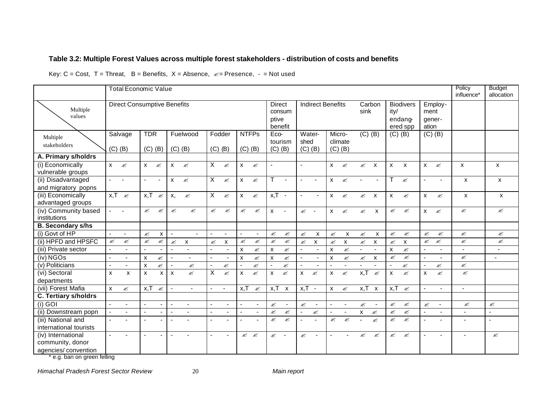## **Table 3.2: Multiple Forest Values across multiple forest stakeholders - distribution of costs and benefits**

Key:  $C = Cost$ ,  $T = Threat$ ,  $B = Benefits$ ,  $X = Absence$ ,  $\mathcal{L} = Presence$ ,  $= Not used$ 

|                                                               | <b>Total Economic Value</b>          |                           |                           |                           |                |                         |                          |                        |                                 |                                            |                           |                | Policy<br>influence*                                                                 | <b>Budget</b><br>allocation |                        |                |                           |                |              |                |                         |                           |                           |
|---------------------------------------------------------------|--------------------------------------|---------------------------|---------------------------|---------------------------|----------------|-------------------------|--------------------------|------------------------|---------------------------------|--------------------------------------------|---------------------------|----------------|--------------------------------------------------------------------------------------|-----------------------------|------------------------|----------------|---------------------------|----------------|--------------|----------------|-------------------------|---------------------------|---------------------------|
| Multiple<br>values                                            | <b>Direct Consumptive Benefits</b>   |                           |                           |                           |                |                         |                          | <b>Direct</b><br>ptive | consum<br>benefit               | <b>Indirect Benefits</b><br>Carbon<br>sink |                           |                | <b>Biodivers</b><br>Employ-<br>ity/<br>ment<br>endano<br>gener-<br>ation<br>ered spp |                             |                        |                |                           |                |              |                |                         |                           |                           |
| Multiple<br>stakeholders                                      | Salvage<br>$(C)$ $(B)$               | <b>TDR</b>                | $(C)$ $(B)$               | $(C)$ $(B)$               | Fuelwood       | $(C)$ $(B)$             | Fodder                   |                        | <b>NTFPs</b><br>$(C)$ $(B)$     | Eco-<br>$(C)$ $(B)$                        | tourism                   | shed           | Water-<br>$(C)$ $(B)$                                                                | Micro-                      | climate<br>$(C)$ $(B)$ |                | $(C)$ $(B)$               |                | $(C)$ $(B)$  |                | $(C)$ $(B)$             |                           |                           |
| A. Primary s/holdrs                                           |                                      |                           |                           |                           |                |                         |                          |                        |                                 |                                            |                           |                |                                                                                      |                             |                        |                |                           |                |              |                |                         |                           |                           |
| (i) Economically<br>vulnerable groups                         | $\mathsf{x}$<br>Ø                    | $\mathsf{x}$              | ø                         | X                         | Ø              | $\overline{\mathsf{x}}$ | ø                        | $\mathsf{x}$           | Ø                               |                                            |                           | $\sim$         |                                                                                      | $\mathsf{x}$                | Ø                      | Ø              | $\mathsf{x}$              | $\mathsf{x}$   | $\mathsf{x}$ | X              | ø                       | X                         | X                         |
| (ii) Disadvantaged<br>and migratory popns                     | $\sim$                               | $\blacksquare$            | $\overline{\phantom{a}}$  | X                         | Ø              | X                       | Ø                        | $\mathsf{x}$           | Ø                               | T                                          | $\blacksquare$            | $\blacksquare$ | $\sim$                                                                               | X                           | Ø                      |                | $\blacksquare$            | т              | Ø            |                |                         | $\boldsymbol{\mathsf{x}}$ | $\boldsymbol{\mathsf{x}}$ |
| (iii) Economically<br>advantaged groups                       | $x,T \approx$                        | x, T                      | Ø                         | x,                        | ø              | $\overline{X}$          | ø                        | $X \t\approx$          |                                 | $x,T -$                                    |                           | $\sim$         |                                                                                      | $\mathsf{X}^-$              | Ø                      | ✍              | $\mathsf{x}$              | $\mathsf{x}$   |              | X              | ≤                       | $\boldsymbol{\mathsf{x}}$ | X                         |
| (iv) Community based<br>institutions                          | $\mathbf{L} = \mathbf{L} \mathbf{L}$ | $\mathscr{L}$             | ✍                         | ✍                         | Ø              | Ø                       | ≤                        | Ø                      | ≤                               | $\mathsf{X}^-$                             | $\sim$ $-$                | $\mathscr{L}$  | $\sim$                                                                               | $X \n\cong$                 |                        | $\mathscr{L}$  | $\mathsf{x}$              | $\mathscr{L}$  | ≤            |                | $X \n\quad \mathscr{L}$ | Ø                         | Ø                         |
| <b>B. Secondary s/hs</b>                                      |                                      |                           |                           |                           |                |                         |                          |                        |                                 |                                            |                           |                |                                                                                      |                             |                        |                |                           |                |              |                |                         |                           |                           |
| (i) Govt of HP                                                | $\sim$                               | ✍                         | X                         | $\sim$                    | $\sim$         |                         | $\overline{\phantom{a}}$ | $\sim$                 | $\blacksquare$                  | ø                                          | ≤                         | ø              | $\boldsymbol{\mathsf{x}}$                                                            | ø                           | X                      | ø              | X                         | ø              | ✍            | ø              | ≤                       | Ø                         | Ø                         |
| (ii) HPFD and HPSFC                                           | ø<br>ø                               | ø                         | ø                         | ø                         | $\pmb{\chi}$   | ø                       | X                        | Ø                      | ø                               | $\mathcal{L}$                              | $\mathcal{L}$             | Ø              | $\pmb{\mathsf{X}}$                                                                   | ø                           | $\pmb{\chi}$           | $\mathcal{L}$  | $\boldsymbol{\mathsf{x}}$ | ≤              | X            | ø              | $\mathcal{L}$           | Ø                         | ø                         |
| (iii) Private sector                                          |                                      |                           |                           | $\sim$                    |                | $\blacksquare$          |                          | $\pmb{\chi}$           | ≤                               | X                                          | $\mathcal{L}$             | $\blacksquare$ |                                                                                      | X                           | ø                      | $\blacksquare$ |                           | X              | ø            | $\blacksquare$ |                         |                           |                           |
| (iv) NGOs                                                     | $\sim$<br>$\blacksquare$             | $\boldsymbol{\mathsf{x}}$ | ≤                         | $\sim$                    | $\blacksquare$ | $\sim$                  | $\blacksquare$           | $\mathsf{x}$           | ≤                               | $\boldsymbol{\mathsf{x}}$                  | $\mathcal{L}$             | $\blacksquare$ | $\blacksquare$                                                                       | X                           | ø                      | ✍              | $\boldsymbol{\mathsf{x}}$ | ø              | ø            | $\blacksquare$ | $\blacksquare$          | ø                         | $\blacksquare$            |
| (v) Politicians                                               | $\sim$<br>$\sim$                     | $\boldsymbol{\mathsf{x}}$ | ø                         | $\sim$                    | ø              | $\mathbf{r}$            | ø                        | $\Delta$               | ø                               | $\sim$                                     | Ø                         | $\blacksquare$ | $\blacksquare$                                                                       | $\sim$                      |                        | $\overline{a}$ | $\overline{a}$            | $\overline{a}$ | ø            | $\blacksquare$ | ø                       | Ø                         |                           |
| (vi) Sectoral<br>departments                                  | $\mathsf{x}$<br>$\mathbf{x}$         | $\mathsf{x}$              | $\boldsymbol{\mathsf{x}}$ | $\boldsymbol{\mathsf{x}}$ | ✍              | $\times$                | ✍                        | $\mathsf{x}$           | ø                               | $\mathsf{x}$                               | Ø                         | $\mathsf{x}$   | ø                                                                                    | $\mathsf{x}$                | Ø                      | x, T           | Ø                         | $\mathsf{x}$   | ø            | $\mathsf{x}$   | ø                       | ø                         |                           |
| (vii) Forest Mafia                                            | X<br>ø                               | $x$ , T                   | ✍                         | $\sim$                    | $\sim$         | $\blacksquare$          | $\sim$                   | x, T                   | Ø                               | x,T                                        | $\boldsymbol{\mathsf{x}}$ | $x,T -$        |                                                                                      | $\mathsf{x}$                | Ø                      | x, T           | $\boldsymbol{\mathsf{x}}$ | x,T            | ✍            | $\blacksquare$ |                         | $\sim$                    |                           |
| <b>C. Tertiary s/holdrs</b>                                   |                                      |                           |                           |                           |                |                         |                          |                        |                                 |                                            |                           |                |                                                                                      |                             |                        |                |                           |                |              |                |                         |                           |                           |
| $(i)$ GOI                                                     | $\sim$                               | $\overline{a}$            |                           | $\sim$                    |                | $\blacksquare$          | $\blacksquare$           | $\Delta$               | $\blacksquare$                  | Ø                                          | $\blacksquare$            | Ø              | $\sim$                                                                               | $\sim$                      | $\blacksquare$         | Ø              | $\blacksquare$            | $\mathscr{L}$  | ø            | Ø              | $\sim$                  | ✍                         | Ø                         |
| (ii) Downstream popn                                          | $\sim$<br>$\blacksquare$             | $\blacksquare$            | $\overline{\phantom{a}}$  | $\sim$                    | $\blacksquare$ | $\blacksquare$          |                          | $\sim$                 | $\blacksquare$                  | Ø                                          | ø                         | $\sim$         | ø                                                                                    | $\sim$                      | $\blacksquare$         | $\mathsf{x}$   | ø                         | ≤              | ✍            | $\blacksquare$ | $\blacksquare$          | $\blacksquare$            | $\blacksquare$            |
| (iii) National and<br>international tourists                  | $\blacksquare$                       | $\blacksquare$            |                           | $\overline{\phantom{a}}$  | $\blacksquare$ | $\blacksquare$          | ÷.                       | $\Delta$               | $\blacksquare$                  | Ø                                          | ø                         | $\blacksquare$ | $\blacksquare$                                                                       | ø                           | ø                      |                | ø                         | Ø              | Ø            | $\blacksquare$ |                         | $\blacksquare$            | $\blacksquare$            |
| (iv) International<br>community, donor<br>agencies/convention | $\overline{a}$                       |                           |                           | $\overline{\phantom{0}}$  |                |                         | $\blacksquare$           |                        | $\mathscr{L} \quad \mathscr{L}$ | Ø                                          | $\sim$                    | Ø              |                                                                                      |                             |                        | ✍              | ✍                         | Ø              | ø            |                |                         |                           | Ø                         |

\* e.g. ban on green felling

*Himachal Pradesh Forest Sector Review* 20 *Main report*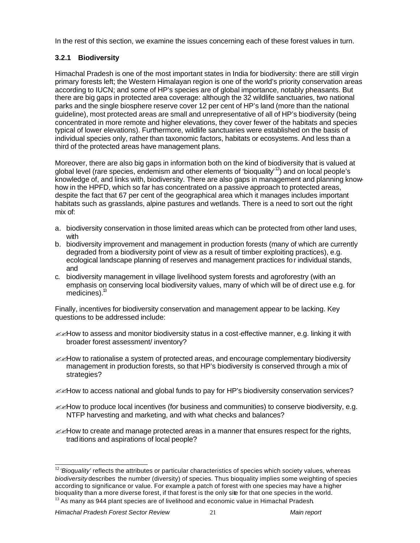In the rest of this section, we examine the issues concerning each of these forest values in turn.

# **3.2.1 Biodiversity**

Himachal Pradesh is one of the most important states in India for biodiversity: there are still virgin primary forests left; the Western Himalayan region is one of the world's priority conservation areas according to IUCN; and some of HP's species are of global importance, notably pheasants. But there are big gaps in protected area coverage: although the 32 wildlife sanctuaries, two national parks and the single biosphere reserve cover 12 per cent of HP's land (more than the national guideline), most protected areas are small and unrepresentative of all of HP's biodiversity (being concentrated in more remote and higher elevations, they cover fewer of the habitats and species typical of lower elevations). Furthermore, wildlife sanctuaries were established on the basis of individual species only, rather than taxonomic factors, habitats or ecosystems. And less than a third of the protected areas have management plans.

Moreover, there are also big gaps in information both on the kind of biodiversity that is valued at global level (rare species, endemism and other elements of 'bioquality'<sup>12</sup>) and on local people's knowledge of, and links with, biodiversity. There are also gaps in management and planning knowhow in the HPFD, which so far has concentrated on a passive approach to protected areas, despite the fact that 67 per cent of the geographical area which it manages includes important habitats such as grasslands, alpine pastures and wetlands. There is a need to sort out the right mix of:

- a. biodiversity conservation in those limited areas which can be protected from other land uses, with
- b. biodiversity improvement and management in production forests (many of which are currently degraded from a biodiversity point of view as a result of timber exploiting practices), e.g. ecological landscape planning of reserves and management practices for individual stands, and
- c. biodiversity management in village livelihood system forests and agroforestry (with an emphasis on conserving local biodiversity values, many of which will be of direct use e.g. for medicines). $^{13}$

Finally, incentives for biodiversity conservation and management appear to be lacking. Key questions to be addressed include:

- $\mathbb{Z}$  How to assess and monitor biodiversity status in a cost-effective manner, e.g. linking it with broader forest assessment/ inventory?
- $\mathbb{Z}$  How to rationalise a system of protected areas, and encourage complementary biodiversity management in production forests, so that HP's biodiversity is conserved through a mix of strategies?
- $\mathscr{B}$ How to access national and global funds to pay for HP's biodiversity conservation services?
- $\ll$ How to produce local incentives (for business and communities) to conserve biodiversity, e.g. NTFP harvesting and marketing, and with what checks and balances?
- $\mathcal{L}\ll$ How to create and manage protected areas in a manner that ensures respect for the rights, traditions and aspirations of local people?

l <sup>12</sup> 'Bioquality' reflects the attributes or particular characteristics of species which society values, whereas *biodiversity* describes the number (diversity) of species. Thus bioquality implies some weighting of species according to significance or value. For example a patch of forest with one species may have a higher bioquality than a more diverse forest, if that forest is the only site for that one species in the world.  $13$  As many as 944 plant species are of livelihood and economic value in Himachal Pradesh.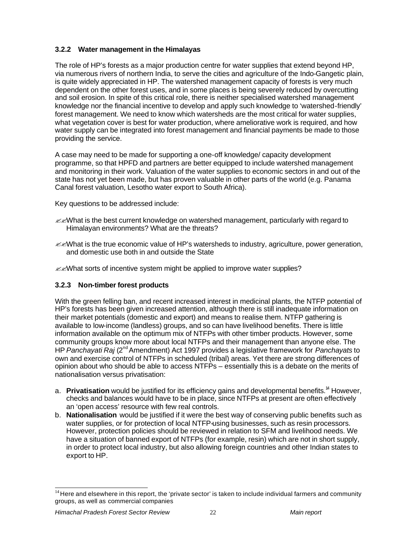# **3.2.2 Water management in the Himalayas**

The role of HP's forests as a major production centre for water supplies that extend beyond HP, via numerous rivers of northern India, to serve the cities and agriculture of the Indo-Gangetic plain, is quite widely appreciated in HP. The watershed management capacity of forests is very much dependent on the other forest uses, and in some places is being severely reduced by overcutting and soil erosion. In spite of this critical role, there is neither specialised watershed management knowledge nor the financial incentive to develop and apply such knowledge to 'watershed-friendly' forest management. We need to know which watersheds are the most critical for water supplies, what vegetation cover is best for water production, where ameliorative work is required, and how water supply can be integrated into forest management and financial payments be made to those providing the service.

A case may need to be made for supporting a one-off knowledge/ capacity development programme, so that HPFD and partners are better equipped to include watershed management and monitoring in their work. Valuation of the water supplies to economic sectors in and out of the state has not yet been made, but has proven valuable in other parts of the world (e.g. Panama Canal forest valuation, Lesotho water export to South Africa).

Key questions to be addressed include:

- $\ll$  Mhat is the best current knowledge on watershed management, particularly with regard to Himalayan environments? What are the threats?
- $\ll$  What is the true economic value of HP's watersheds to industry, agriculture, power generation, and domestic use both in and outside the State

 $\ll$  What sorts of incentive system might be applied to improve water supplies?

# **3.2.3 Non-timber forest products**

With the green felling ban, and recent increased interest in medicinal plants, the NTFP potential of HP's forests has been given increased attention, although there is still inadequate information on their market potentials (domestic and export) and means to realise them. NTFP gathering is available to low-income (landless) groups, and so can have livelihood benefits. There is little information available on the optimum mix of NTFPs with other timber products. However, some community groups know more about local NTFPs and their management than anyone else. The HP *Panchayati Raj* (2nd Amendment) Act 1997 provides a legislative framework for *Panchayats* to own and exercise control of NTFPs in scheduled (tribal) areas. Yet there are strong differences of opinion about who should be able to access NTFPs – essentially this is a debate on the merits of nationalisation versus privatisation:

- a. **Privatisation** would be justified for its efficiency gains and developmental benefits.<sup>14</sup> However, checks and balances would have to be in place, since NTFPs at present are often effectively an 'open access' resource with few real controls.
- b. **Nationalisation** would be justified if it were the best way of conserving public benefits such as water supplies, or for protection of local NTFP-using businesses, such as resin processors. However, protection policies should be reviewed in relation to SFM and livelihood needs. We have a situation of banned export of NTFPs (for example, resin) which are not in short supply, in order to protect local industry, but also allowing foreign countries and other Indian states to export to HP.

l  $14$  Here and elsewhere in this report, the 'private sector' is taken to include individual farmers and community groups, as well as commercial companies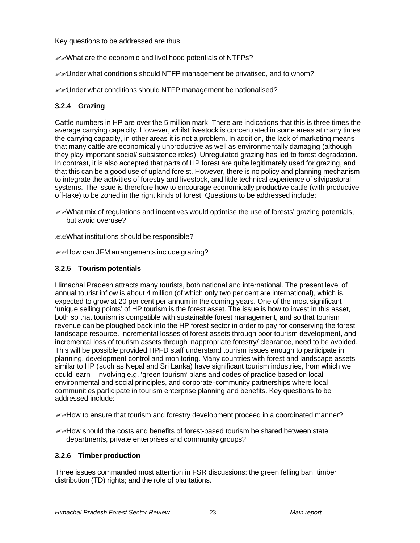Key questions to be addressed are thus:

**EXAMERIAT ARE SECONOMIC AND INCHINOOD POTENTIALS OF NTFPS?** 

 $\mathbb{Z}$ Under what conditions should NTFP management be privatised, and to whom?

**EXUnder what conditions should NTFP management be nationalised?** 

# **3.2.4 Grazing**

Cattle numbers in HP are over the 5 million mark. There are indications that this is three times the average carrying capacity. However, whilst livestock is concentrated in some areas at many times the carrying capacity, in other areas it is not a problem. In addition, the lack of marketing means that many cattle are economically unproductive as well as environmentally damaging (although they play important social/ subsistence roles). Unregulated grazing has led to forest degradation. In contrast, it is also accepted that parts of HP forest are quite legitimately used for grazing, and that this can be a good use of upland fore st. However, there is no policy and planning mechanism to integrate the activities of forestry and livestock, and little technical experience of silvipastoral systems. The issue is therefore how to encourage economically productive cattle (with productive off-take) to be zoned in the right kinds of forest. Questions to be addressed include:

 $\ll$  What mix of regulations and incentives would optimise the use of forests' grazing potentials, but avoid overuse?

??What institutions should be responsible?

**EXALOW can JFM arrangements include grazing?** 

## **3.2.5 Tourism potentials**

Himachal Pradesh attracts many tourists, both national and international. The present level of annual tourist inflow is about 4 million (of which only two per cent are international), which is expected to grow at 20 per cent per annum in the coming years. One of the most significant 'unique selling points' of HP tourism is the forest asset. The issue is how to invest in this asset, both so that tourism is compatible with sustainable forest management, and so that tourism revenue can be ploughed back into the HP forest sector in order to pay for conserving the forest landscape resource. Incremental losses of forest assets through poor tourism development, and incremental loss of tourism assets through inappropriate forestry/ clearance, need to be avoided. This will be possible provided HPFD staff understand tourism issues enough to participate in planning, development control and monitoring. Many countries with forest and landscape assets similar to HP (such as Nepal and Sri Lanka) have significant tourism industries, from which we could learn – involving e.g. 'green tourism' plans and codes of practice based on local environmental and social principles, and corporate-community partnerships where local communities participate in tourism enterprise planning and benefits. Key questions to be addressed include:

 $\mathbb{Z}$  How to ensure that tourism and forestry development proceed in a coordinated manner?

 $\ll$ How should the costs and benefits of forest-based tourism be shared between state departments, private enterprises and community groups?

# **3.2.6 Timber production**

Three issues commanded most attention in FSR discussions: the green felling ban; timber distribution (TD) rights; and the role of plantations.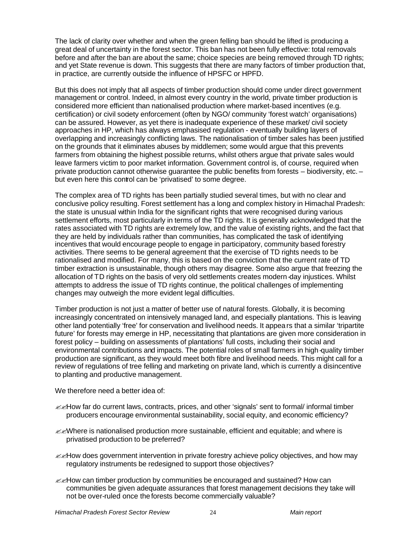The lack of clarity over whether and when the green felling ban should be lifted is producing a great deal of uncertainty in the forest sector. This ban has not been fully effective: total removals before and after the ban are about the same; choice species are being removed through TD rights; and yet State revenue is down. This suggests that there are many factors of timber production that, in practice, are currently outside the influence of HPSFC or HPFD.

But this does not imply that all aspects of timber production should come under direct government management or control. Indeed, in almost every country in the world, private timber production is considered more efficient than nationalised production where market-based incentives (e.g. certification) or civil society enforcement (often by NGO/ community 'forest watch' organisations) can be assured. However, as yet there is inadequate experience of these market/ civil society approaches in HP, which has always emphasised regulation - eventually building layers of overlapping and increasingly conflicting laws. The nationalisation of timber sales has been justified on the grounds that it eliminates abuses by middlemen; some would argue that this prevents farmers from obtaining the highest possible returns, whilst others argue that private sales would leave farmers victim to poor market information. Government control is, of course, required when private production cannot otherwise guarantee the public benefits from forests – biodiversity, etc. – but even here this control can be 'privatised' to some degree.

The complex area of TD rights has been partially studied several times, but with no clear and conclusive policy resulting. Forest settlement has a long and complex history in Himachal Pradesh: the state is unusual within India for the significant rights that were recognised during various settlement efforts, most particularly in terms of the TD rights. It is generally acknowledged that the rates associated with TD rights are extremely low, and the value of existing rights, and the fact that they are held by individuals rather than communities, has complicated the task of identifying incentives that would encourage people to engage in participatory, community based forestry activities. There seems to be general agreement that the exercise of TD rights needs to be rationalised and modified. For many, this is based on the conviction that the current rate of TD timber extraction is unsustainable, though others may disagree. Some also argue that freezing the allocation of TD rights on the basis of very old settlements creates modern-day injustices. Whilst attempts to address the issue of TD rights continue, the political challenges of implementing changes may outweigh the more evident legal difficulties.

Timber production is not just a matter of better use of natural forests. Globally, it is becoming increasingly concentrated on intensively managed land, and especially plantations. This is leaving other land potentially 'free' for conservation and livelihood needs. It appears that a similar 'tripartite future' for forests may emerge in HP, necessitating that plantations are given more consideration in forest policy – building on assessments of plantations' full costs, including their social and environmental contributions and impacts. The potential roles of small farmers in high-quality timber production are significant, as they would meet both fibre and livelihood needs. This might call for a review of regulations of tree felling and marketing on private land, which is currently a disincentive to planting and productive management.

We therefore need a better idea of:

- $\mathcal{L}$ How far do current laws, contracts, prices, and other 'signals' sent to formal/ informal timber producers encourage environmental sustainability, social equity, and economic efficiency?
- $\ll$  Where is nationalised production more sustainable, efficient and equitable; and where is privatised production to be preferred?
- $\mathbb{Z}$  How does government intervention in private forestry achieve policy objectives, and how may regulatory instruments be redesigned to support those objectives?
- $\mathbb{Z}$  How can timber production by communities be encouraged and sustained? How can communities be given adequate assurances that forest management decisions they take will not be over-ruled once the forests become commercially valuable?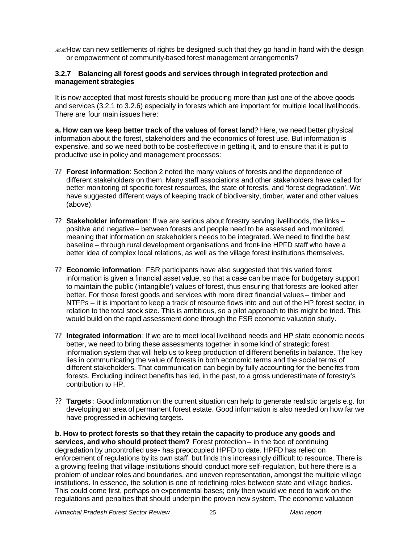$\mathbb{Z}$ How can new settlements of rights be designed such that they go hand in hand with the design or empowerment of community-based forest management arrangements?

#### **3.2.7 Balancing all forest goods and services through integrated protection and management strategies**

It is now accepted that most forests should be producing more than just one of the above goods and services (3.2.1 to 3.2.6) especially in forests which are important for multiple local livelihoods. There are four main issues here:

**a. How can we keep better track of the values of forest land***?* Here, we need better physical information about the forest, stakeholders and the economics of forest use. But information is expensive, and so we need both to be cost-effective in getting it, and to ensure that it is put to productive use in policy and management processes:

- ?? **Forest information**: Section 2 noted the many values of forests and the dependence of different stakeholders on them. Many staff associations and other stakeholders have called for better monitoring of specific forest resources, the state of forests, and 'forest degradation'. We have suggested different ways of keeping track of biodiversity, timber, water and other values (above).
- ?? **Stakeholder information**: If we are serious about forestry serving livelihoods, the links positive and negative – between forests and people need to be assessed and monitored, meaning that information on stakeholders needs to be integrated. We need to find the best baseline – through rural development organisations and front-line HPFD staff who have a better idea of complex local relations, as well as the village forest institutions themselves.
- ?? **Economic information**: FSR participants have also suggested that this varied forest information is given a financial asset value, so that a case can be made for budgetary support to maintain the public ('intangible') values of forest, thus ensuring that forests are looked after better. For those forest goods and services with more direct financial values – timber and NTFPs – it is important to keep a track of resource flows into and out of the HP forest sector, in relation to the total stock size. This is ambitious, so a pilot approach to this might be tried. This would build on the rapid assessment done through the FSR economic valuation study.
- ?? **Integrated information**: If we are to meet local livelihood needs and HP state economic needs better, we need to bring these assessments together in some kind of strategic forest information system that will help us to keep production of different benefits in balance. The key lies in communicating the value of forests in both economic terms and the social terms of different stakeholders. That communication can begin by fully accounting for the benefits from forests. Excluding indirect benefits has led, in the past, to a gross underestimate of forestry's contribution to HP.
- ?? **Targets** *:* Good information on the current situation can help to generate realistic targets e.g. for developing an area of permanent forest estate. Good information is also needed on how far we have progressed in achieving targets.

**b. How to protect forests so that they retain the capacity to produce any goods and services, and who should protect them?** Forest protection – in the face of continuing degradation by uncontrolled use- has preoccupied HPFD to date. HPFD has relied on enforcement of regulations by its own staff, but finds this increasingly difficult to resource. There is a growing feeling that village institutions should conduct more self-regulation, but here there is a problem of unclear roles and boundaries, and uneven representation, amongst the multiple village institutions. In essence, the solution is one of redefining roles between state and village bodies. This could come first, perhaps on experimental bases; only then would we need to work on the regulations and penalties that should underpin the proven new system. The economic valuation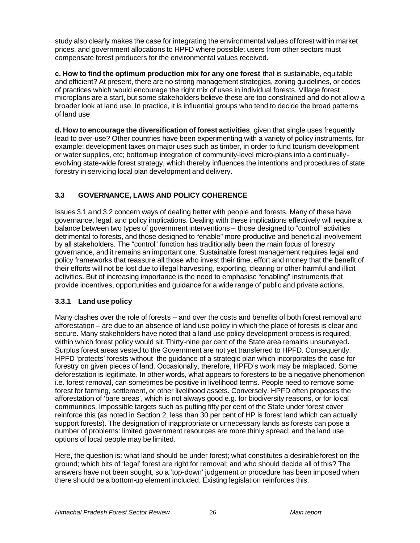study also clearly makes the case for integrating the environmental values of forest within market prices, and government allocations to HPFD where possible: users from other sectors must compensate forest producers for the environmental values received.

**c. How to find the optimum production mix for any one forest** that is sustainable, equitable and efficient? At present, there are no strong management strategies, zoning guidelines, or codes of practices which would encourage the right mix of uses in individual forests. Village forest microplans are a start, but some stakeholders believe these are too constrained and do not allow a broader look at land use. In practice, it is influential groups who tend to decide the broad patterns of land use

**d. How to encourage the diversification of forest activities**, given that single uses frequently lead to over-use? Other countries have been experimenting with a variety of policy instruments, for example: development taxes on major uses such as timber, in order to fund tourism development or water supplies, etc; bottom-up integration of community-level micro-plans into a continuallyevolving state-wide forest strategy, which thereby influences the intentions and procedures of state forestry in servicing local plan development and delivery.

# **3.3 GOVERNANCE, LAWS AND POLICY COHERENCE**

Issues 3.1 and 3.2 concern ways of dealing better with people and forests. Many of these have governance, legal, and policy implications. Dealing with these implications effectively will require a balance between two types of government interventions – those designed to "control" activities detrimental to forests, and those designed to "enable" more productive and beneficial involvement by all stakeholders. The "control" function has traditionally been the main focus of forestry governance, and it remains an important one. Sustainable forest management requires legal and policy frameworks that reassure all those who invest their time, effort and money that the benefit of their efforts will not be lost due to illegal harvesting, exporting, clearing or other harmful and illicit activities. But of increasing importance is the need to emphasise "enabling" instruments that provide incentives, opportunities and guidance for a wide range of public and private actions.

# **3.3.1 Land use policy**

Many clashes over the role of forests – and over the costs and benefits of both forest removal and afforestation – are due to an absence of land use policy in which the place of forests is clear and secure. Many stakeholders have noted that a land use policy development process is required, within which forest policy would sit.Thirty-nine per cent of the State area remains unsurveyed**.** Surplus forest areas vested to the Government are not yet transferred to HPFD. Consequently, HPFD 'protects' forests without the guidance of a strategic plan which incorporates the case for forestry on given pieces of land. Occasionally, therefore, HPFD's work may be misplaced. Some deforestation is legitimate. In other words, what appears to foresters to be a negative phenomenon i.e. forest removal, can sometimes be positive in livelihood terms. People need to remove some forest for farming, settlement, or other livelihood assets. Conversely, HPFD often proposes the afforestation of 'bare areas', which is not always good e.g. for biodiversity reasons, or for local communities. Impossible targets such as putting fifty per cent of the State under forest cover reinforce this (as noted in Section 2, less than 30 per cent of HP is forest land which can actually support forests). The designation of inappropriate or unnecessary lands as forests can pose a number of problems: limited government resources are more thinly spread; and the land use options of local people may be limited.

Here, the question is: what land should be under forest; what constitutes a desirable forest on the ground; which bits of 'legal' forest are right for removal; and who should decide all of this? The answers have not been sought, so a 'top-down' judgement or procedure has been imposed when there should be a bottom-up element included. Existing legislation reinforces this.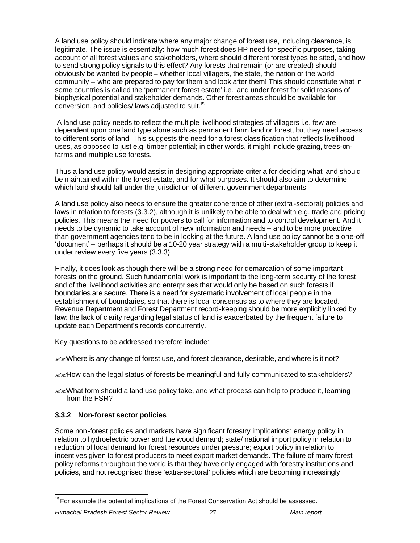A land use policy should indicate where any major change of forest use, including clearance, is legitimate. The issue is essentially: how much forest does HP need for specific purposes, taking account of all forest values and stakeholders, where should different forest types be sited, and how to send strong policy signals to this effect? Any forests that remain (or are created) should obviously be wanted by people – whether local villagers, the state, the nation or the world community – who are prepared to pay for them and look after them! This should constitute what in some countries is called the 'permanent forest estate' i.e. land under forest for solid reasons of biophysical potential and stakeholder demands. Other forest areas should be available for conversion, and policies/ laws adjusted to suit.<sup>15</sup>

 A land use policy needs to reflect the multiple livelihood strategies of villagers i.e. few are dependent upon one land type alone such as permanent farm land or forest, but they need access to different sorts of land. This suggests the need for a forest classification that reflects livelihood uses, as opposed to just e.g. timber potential; in other words, it might include grazing, trees-onfarms and multiple use forests.

Thus a land use policy would assist in designing appropriate criteria for deciding what land should be maintained within the forest estate, and for what purposes. It should also aim to determine which land should fall under the jurisdiction of different government departments.

A land use policy also needs to ensure the greater coherence of other (extra-sectoral) policies and laws in relation to forests (3.3.2), although it is unlikely to be able to deal with e.g. trade and pricing policies. This means the need for powers to call for information and to control development. And it needs to be dynamic to take account of new information and needs – and to be more proactive than government agencies tend to be in looking at the future. A land use policy cannot be a one-off 'document' – perhaps it should be a 10-20 year strategy with a multi-stakeholder group to keep it under review every five years (3.3.3).

Finally, it does look as though there will be a strong need for demarcation of some important forests on the ground. Such fundamental work is important to the long-term security of the forest and of the livelihood activities and enterprises that would only be based on such forests if boundaries are secure. There is a need for systematic involvement of local people in the establishment of boundaries, so that there is local consensus as to where they are located. Revenue Department and Forest Department record-keeping should be more explicitly linked by law: the lack of clarity regarding legal status of land is exacerbated by the frequent failure to update each Department's records concurrently.

Key questions to be addressed therefore include:

 $\ll$  Where is any change of forest use, and forest clearance, desirable, and where is it not?

- $\mathbb{Z}$  How can the legal status of forests be meaningful and fully communicated to stakeholders?
- $\ll$  Mhat form should a land use policy take, and what process can help to produce it, learning from the FSR?

# **3.3.2 Non-forest sector policies**

Some non-forest policies and markets have significant forestry implications: energy policy in relation to hydroelectric power and fuelwood demand; state/ national import policy in relation to reduction of local demand for forest resources under pressure; export policy in relation to incentives given to forest producers to meet export market demands. The failure of many forest policy reforms throughout the world is that they have only engaged with forestry institutions and policies, and not recognised these 'extra-sectoral' policies which are becoming increasingly

l <sup>15</sup> For example the potential implications of the Forest Conservation Act should be assessed.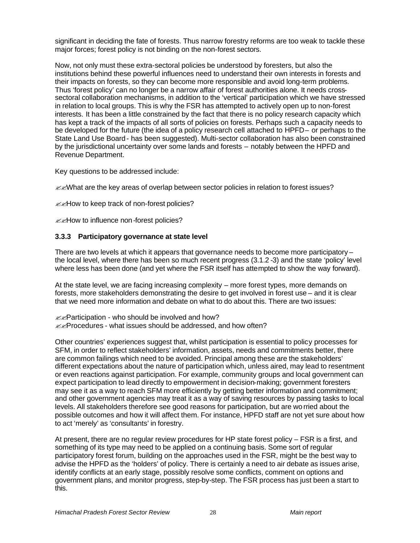significant in deciding the fate of forests. Thus narrow forestry reforms are too weak to tackle these major forces; forest policy is not binding on the non-forest sectors.

Now, not only must these extra-sectoral policies be understood by foresters, but also the institutions behind these powerful influences need to understand their own interests in forests and their impacts on forests, so they can become more responsible and avoid long-term problems. Thus 'forest policy' can no longer be a narrow affair of forest authorities alone. It needs crosssectoral collaboration mechanisms, in addition to the 'vertical' participation which we have stressed in relation to local groups. This is why the FSR has attempted to actively open up to non-forest interests. It has been a little constrained by the fact that there is no policy research capacity which has kept a track of the impacts of all sorts of policies on forests. Perhaps such a capacity needs to be developed for the future (the idea of a policy research cell attached to HPFD- or perhaps to the State Land Use Board - has been suggested). Multi-sector collaboration has also been constrained by the jurisdictional uncertainty over some lands and forests – notably between the HPFD and Revenue Department.

Key questions to be addressed include:

& What are the key areas of overlap between sector policies in relation to forest issues?

**EXPERIOUR TO KEEP TRACK OF non-forest policies?** 

**EXALOW to influence non-forest policies?** 

#### **3.3.3 Participatory governance at state level**

There are two levels at which it appears that governance needs to become more participatory – the local level, where there has been so much recent progress (3.1.2 -3) and the state 'policy' level where less has been done (and yet where the FSR itself has attempted to show the way forward).

At the state level, we are facing increasing complexity – more forest types, more demands on forests, more stakeholders demonstrating the desire to get involved in forest use – and it is clear that we need more information and debate on what to do about this. There are two issues:

 $\mathbb{Z}$   $\mathbb{Z}$ Participation - who should be involved and how?  $\mathbb{Z}$  Procedures - what issues should be addressed, and how often?

Other countries' experiences suggest that, whilst participation is essential to policy processes for SFM, in order to reflect stakeholders' information, assets, needs and commitments better, there are common failings which need to be avoided. Principal among these are the stakeholders' different expectations about the nature of participation which, unless aired, may lead to resentment or even reactions against participation. For example, community groups and local government can expect participation to lead directly to empowerment in decision-making; government foresters may see it as a way to reach SFM more efficiently by getting better information and commitment; and other government agencies may treat it as a way of saving resources by passing tasks to local levels. All stakeholders therefore see good reasons for participation, but are worried about the possible outcomes and how it will affect them. For instance, HPFD staff are not yet sure about how to act 'merely' as 'consultants' in forestry.

At present, there are no regular review procedures for HP state forest policy – FSR is a first, and something of its type may need to be applied on a continuing basis. Some sort of regular participatory forest forum, building on the approaches used in the FSR, might be the best way to advise the HPFD as the 'holders' of policy. There is certainly a need to air debate as issues arise, identify conflicts at an early stage, possibly resolve some conflicts, comment on options and government plans, and monitor progress, step-by-step. The FSR process has just been a start to this.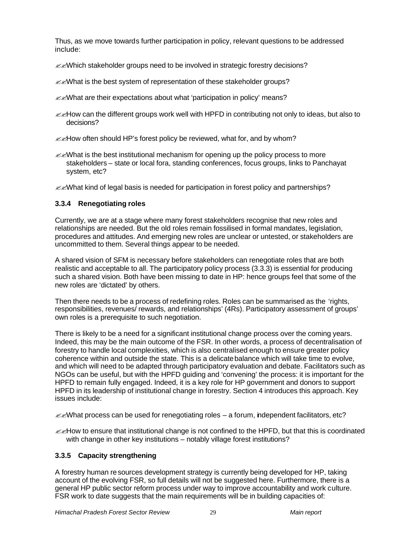Thus, as we move towards further participation in policy, relevant questions to be addressed include:

- $\ll$  Mhich stakeholder groups need to be involved in strategic forestry decisions?
- **EXWhat is the best system of representation of these stakeholder groups?**
- $\mathcal{L}$   $\mathcal{L}$  What are their expectations about what 'participation in policy' means?
- $\ll$ How can the different groups work well with HPFD in contributing not only to ideas, but also to decisions?
- $\mathbb{Z}$  How often should HP's forest policy be reviewed, what for, and by whom?
- $\mathbb{Z}$  What is the best institutional mechanism for opening up the policy process to more stakeholders – state or local fora, standing conferences, focus groups, links to Panchayat system, etc?
- $\ll$  What kind of legal basis is needed for participation in forest policy and partnerships?

# **3.3.4 Renegotiating roles**

Currently, we are at a stage where many forest stakeholders recognise that new roles and relationships are needed. But the old roles remain fossilised in formal mandates, legislation, procedures and attitudes. And emerging new roles are unclear or untested, or stakeholders are uncommitted to them. Several things appear to be needed.

A shared vision of SFM is necessary before stakeholders can renegotiate roles that are both realistic and acceptable to all. The participatory policy process (3.3.3) is essential for producing such a shared vision. Both have been missing to date in HP: hence groups feel that some of the new roles are 'dictated' by others.

Then there needs to be a process of redefining roles. Roles can be summarised as the 'rights, responsibilities, revenues/ rewards, and relationships' (4Rs). Participatory assessment of groups' own roles is a prerequisite to such negotiation.

There is likely to be a need for a significant institutional change process over the coming years. Indeed, this may be the main outcome of the FSR. In other words, a process of decentralisation of forestry to handle local complexities, which is also centralised enough to ensure greater policy coherence within and outside the state. This is a delicate balance which will take time to evolve, and which will need to be adapted through participatory evaluation and debate. Facilitators such as NGOs can be useful, but with the HPFD guiding and 'convening' the process: it is important for the HPFD to remain fully engaged. Indeed, it is a key role for HP government and donors to support HPFD in its leadership of institutional change in forestry. Section 4 introduces this approach. Key issues include:

 $\mathcal{Z}$  What process can be used for renegotiating roles – a forum, independent facilitators, etc?

 $\ll$ How to ensure that institutional change is not confined to the HPFD, but that this is coordinated with change in other key institutions – notably village forest institutions?

# **3.3.5 Capacity strengthening**

A forestry human resources development strategy is currently being developed for HP, taking account of the evolving FSR, so full details will not be suggested here. Furthermore, there is a general HP public sector reform process under way to improve accountability and work culture. FSR work to date suggests that the main requirements will be in building capacities of: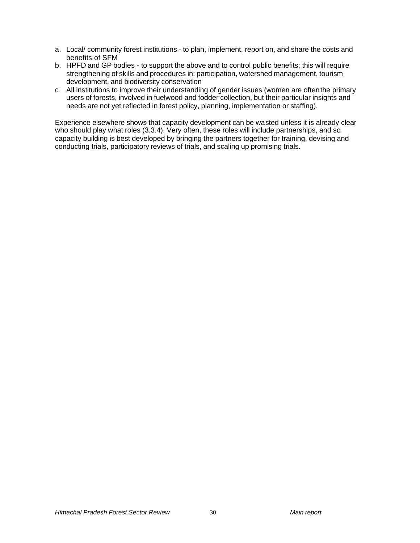- a. Local/ community forest institutions to plan, implement, report on, and share the costs and benefits of SFM
- b. HPFD and GP bodies to support the above and to control public benefits; this will require strengthening of skills and procedures in: participation, watershed management, tourism development, and biodiversity conservation
- c. All institutions to improve their understanding of gender issues (women are often the primary users of forests, involved in fuelwood and fodder collection, but their particular insights and needs are not yet reflected in forest policy, planning, implementation or staffing).

Experience elsewhere shows that capacity development can be wasted unless it is already clear who should play what roles (3.3.4). Very often, these roles will include partnerships, and so capacity building is best developed by bringing the partners together for training, devising and conducting trials, participatory reviews of trials, and scaling up promising trials.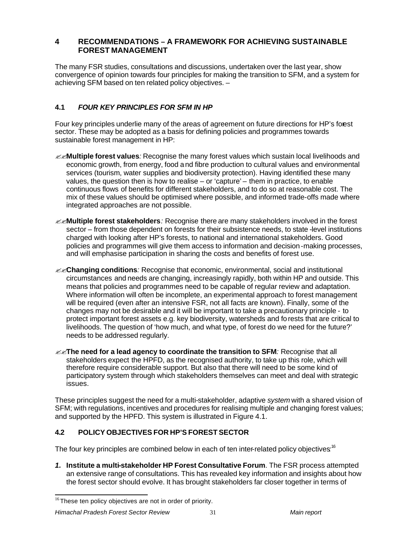# **4 RECOMMENDATIONS – A FRAMEWORK FOR ACHIEVING SUSTAINABLE FOREST MANAGEMENT**

The many FSR studies, consultations and discussions, undertaken over the last year, show convergence of opinion towards four principles for making the transition to SFM, and a system for achieving SFM based on ten related policy objectives. –

# **4.1** *FOUR KEY PRINCIPLES FOR SFM IN HP*

Four key principles underlie many of the areas of agreement on future directions for HP's forest sector. These may be adopted as a basis for defining policies and programmes towards sustainable forest management in HP:

- ??**Multiple forest values***:* Recognise the many forest values which sustain local livelihoods and economic growth, from energy, food and fibre production to cultural values and environmental services (tourism, water supplies and biodiversity protection). Having identified these many values, the question then is how to realise – or 'capture' – them in practice, to enable continuous flows of benefits for different stakeholders, and to do so at reasonable cost. The mix of these values should be optimised where possible, and informed trade-offs made where integrated approaches are not possible.
- ??**Multiple forest stakeholders***:* Recognise there are many stakeholders involved in the forest sector – from those dependent on forests for their subsistence needs, to state -level institutions charged with looking after HP's forests, to national and international stakeholders. Good policies and programmes will give them access to information and decision-making processes, and will emphasise participation in sharing the costs and benefits of forest use.
- ??**Changing conditions***:* Recognise that economic, environmental, social and institutional circumstances and needs are changing, increasingly rapidly, both within HP and outside. This means that policies and programmes need to be capable of regular review and adaptation. Where information will often be incomplete, an experimental approach to forest management will be required (even after an intensive FSR, not all facts are known). Finally, some of the changes may not be desirable and it will be important to take a precautionary principle - to protect important forest assets e.g. key biodiversity, watersheds and forests that are critical to livelihoods. The question of 'how much, and what type, of forest do we need for the future?' needs to be addressed regularly.
- ??**The need for a lead agency to coordinate the transition to SFM***:* Recognise that all stakeholders expect the HPFD, as the recognised authority, to take up this role, which will therefore require considerable support. But also that there will need to be some kind of participatory system through which stakeholders themselves can meet and deal with strategic issues.

These principles suggest the need for a multi-stakeholder, adaptive *system* with a shared vision of SFM; with regulations, incentives and procedures for realising multiple and changing forest values; and supported by the HPFD. This system is illustrated in Figure 4.1.

# **4.2 POLICY OBJECTIVES FOR HP'S FOREST SECTOR**

The four key principles are combined below in each of ten inter-related policy objectives*:* 16

*1.* **Institute a multi-stakeholder HP Forest Consultative Forum**. The FSR process attempted an extensive range of consultations. This has revealed key information and insights about how the forest sector should evolve. It has brought stakeholders far closer together in terms of

l

 $16$ These ten policy objectives are not in order of priority.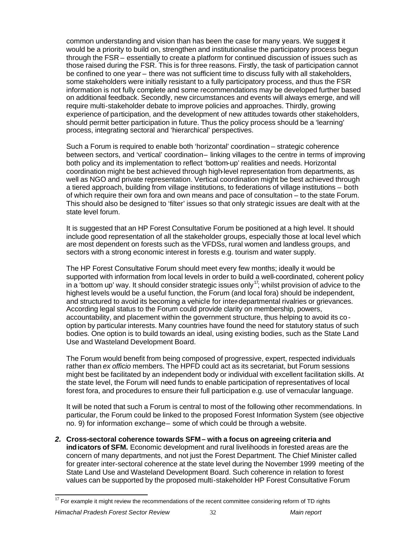common understanding and vision than has been the case for many years. We suggest it would be a priority to build on, strengthen and institutionalise the participatory process begun through the FSR – essentially to create a platform for continued discussion of issues such as those raised during the FSR. This is for three reasons. Firstly, the task of participation cannot be confined to one year – there was not sufficient time to discuss fully with all stakeholders, some stakeholders were initially resistant to a fully participatory process, and thus the FSR information is not fully complete and some recommendations may be developed further based on additional feedback. Secondly, new circumstances and events will always emerge, and will require multi-stakeholder debate to improve policies and approaches. Thirdly, growing experience of participation, and the development of new attitudes towards other stakeholders, should permit better participation in future. Thus the policy process should be a 'learning' process, integrating sectoral and 'hierarchical' perspectives.

Such a Forum is required to enable both 'horizontal' coordination – strategic coherence between sectors, and 'vertical' coordination- linking villages to the centre in terms of improving both policy and its implementation to reflect 'bottom-up' realities and needs. Horizontal coordination might be best achieved through high-level representation from departments, as well as NGO and private representation. Vertical coordination might be best achieved through a tiered approach, building from village institutions, to federations of village institutions – both of which require their own fora and own means and pace of consultation – to the state Forum. This should also be designed to 'filter' issues so that only strategic issues are dealt with at the state level forum.

It is suggested that an HP Forest Consultative Forum be positioned at a high level. It should include good representation of all the stakeholder groups, especially those at local level which are most dependent on forests such as the VFDSs, rural women and landless groups, and sectors with a strong economic interest in forests e.g. tourism and water supply.

The HP Forest Consultative Forum should meet every few months; ideally it would be supported with information from local levels in order to build a well-coordinated, coherent policy in a 'bottom up' way. It should consider strategic issues only<sup>17</sup>; whilst provision of advice to the highest levels would be a useful function, the Forum (and local fora) should be independent, and structured to avoid its becoming a vehicle for inter-departmental rivalries or grievances. According legal status to the Forum could provide clarity on membership, powers, accountability, and placement within the government structure, thus helping to avoid its cooption by particular interests. Many countries have found the need for statutory status of such bodies. One option is to build towards an ideal, using existing bodies, such as the State Land Use and Wasteland Development Board.

The Forum would benefit from being composed of progressive, expert, respected individuals rather than *ex officio* members. The HPFD could act as its secretariat, but Forum sessions might best be facilitated by an independent body or individual with excellent facilitation skills. At the state level, the Forum will need funds to enable participation of representatives of local forest fora, and procedures to ensure their full participation e.g. use of vernacular language.

It will be noted that such a Forum is central to most of the following other recommendations. In particular, the Forum could be linked to the proposed Forest Information System (see objective no. 9) for information exchange – some of which could be through a website.

*2.* **Cross-sectoral coherence towards SFM – with a focus on agreeing criteria and indicators of SFM.** Economic development and rural livelihoods in forested areas are the concern of many departments, and not just the Forest Department. The Chief Minister called for greater inter-sectoral coherence at the state level during the November 1999 meeting of the State Land Use and Wasteland Development Board. Such coherence in relation to forest values can be supported by the proposed multi-stakeholder HP Forest Consultative Forum

l

<sup>&</sup>lt;sup>17</sup> For example it might review the recommendations of the recent committee considering reform of TD rights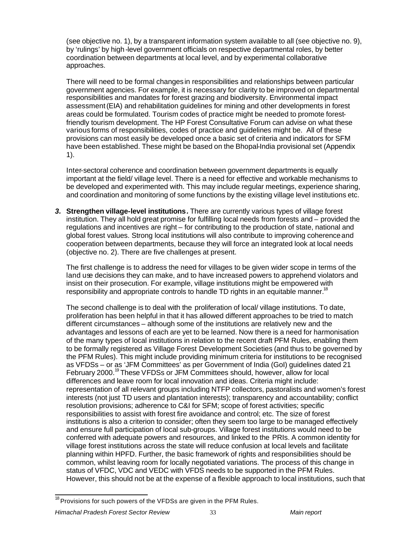(see objective no. 1), by a transparent information system available to all (see objective no. 9), by 'rulings' by high-level government officials on respective departmental roles, by better coordination between departments at local level, and by experimental collaborative approaches.

There will need to be formal changes in responsibilities and relationships between particular government agencies. For example, it is necessary for clarity to be improved on departmental responsibilities and mandates for forest grazing and biodiversity. Environmental impact assessment (EIA) and rehabilitation guidelines for mining and other developments in forest areas could be formulated. Tourism codes of practice might be needed to promote forestfriendly tourism development. The HP Forest Consultative Forum can advise on what these various forms of responsibilities, codes of practice and guidelines might be. All of these provisions can most easily be developed once a basic set of criteria and indicators for SFM have been established. These might be based on the Bhopal-India provisional set (Appendix 1).

Inter-sectoral coherence and coordination between government departments is equally important at the field/ village level. There is a need for effective and workable mechanisms to be developed and experimented with. This may include regular meetings, experience sharing, and coordination and monitoring of some functions by the existing village level institutions etc.

*3.* **Strengthen village-level institutions***.* There are currently various types of village forest institution. They all hold great promise for fulfilling local needs from forests and – provided the regulations and incentives are right – for contributing to the production of state, national and global forest values. Strong local institutions will also contribute to improving coherence and cooperation between departments, because they will force an integrated look at local needs (objective no. 2). There are five challenges at present.

The first challenge is to address the need for villages to be given wider scope in terms of the land use decisions they can make, and to have increased powers to apprehend violators and insist on their prosecution. For example, village institutions might be empowered with responsibility and appropriate controls to handle TD rights in an equitable manner.<sup>18</sup>

The second challenge is to deal with the proliferation of local/ village institutions. To date, proliferation has been helpful in that it has allowed different approaches to be tried to match different circumstances – although some of the institutions are relatively new and the advantages and lessons of each are yet to be learned. Now there is a need for harmonisation of the many types of local institutions in relation to the recent draft PFM Rules, enabling them to be formally registered as Village Forest Development Societies (and thus to be governed by the PFM Rules). This might include providing minimum criteria for institutions to be recognised as VFDSs – or as 'JFM Committees' as per Government of India (GoI) guidelines dated 21 February 2000.<sup>19</sup> These VFDSs or JFM Committees should, however, allow for local differences and leave room for local innovation and ideas. Criteria might include: representation of all relevant groups including NTFP collectors, pastoralists and women's forest interests (not just TD users and plantation interests); transparency and accountability; conflict resolution provisions; adherence to C&I for SFM; scope of forest activities; specific responsibilities to assist with forest fire avoidance and control; etc. The size of forest institutions is also a criterion to consider; often they seem too large to be managed effectively and ensure full participation of local sub-groups. Village forest institutions would need to be conferred with adequate powers and resources, and linked to the PRIs. A common identity for village forest institutions across the state will reduce confusion at local levels and facilitate planning within HPFD. Further, the basic framework of rights and responsibilities should be common, whilst leaving room for locally negotiated variations. The process of this change in status of VFDC, VDC and VEDC with VFDS needs to be supported in the PFM Rules. However, this should not be at the expense of a flexible approach to local institutions, such that

 $\frac{18}{18}$  Provisions for such powers of the VFDSs are given in the PFM Rules.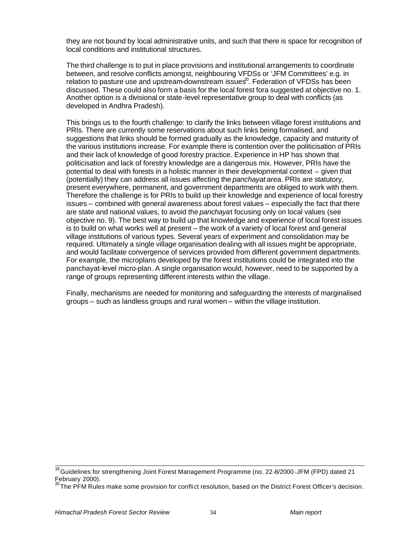they are not bound by local administrative units, and such that there is space for recognition of local conditions and institutional structures.

The third challenge is to put in place provisions and institutional arrangements to coordinate between, and resolve conflicts amongst, neighbouring VFDSs or 'JFM Committees' e.g. in relation to pasture use and upstream-downstream issues<sup> $\Omega$ </sup>. Federation of VFDSs has been discussed. These could also form a basis for the local forest fora suggested at objective no. 1. Another option is a divisional or state-level representative group to deal with conflicts (as developed in Andhra Pradesh).

This brings us to the fourth challenge: to clarify the links between village forest institutions and PRIs. There are currently some reservations about such links being formalised, and suggestions that links should be formed gradually as the knowledge, capacity and maturity of the various institutions increase. For example there is contention over the politicisation of PRIs and their lack of knowledge of good forestry practice. Experience in HP has shown that politicisation and lack of forestry knowledge are a dangerous mix. However, PRIs have the potential to deal with forests in a holistic manner in their developmental context – given that (potentially) they can address all issues affecting the *panchayat* area. PRIs are statutory, present everywhere, permanent, and government departments are obliged to work with them. Therefore the challenge is for PRIs to build up their knowledge and experience of local forestry issues – combined with general awareness about forest values – especially the fact that there are state and national values, to avoid the *panchaya*t focusing only on local values (see objective no. 9). The best way to build up that knowledge and experience of local forest issues is to build on what works well at present – the work of a variety of local forest and general village institutions of various types. Several years of experiment and consolidation may be required. Ultimately a single village organisation dealing with all issues might be appropriate, and would facilitate convergence of services provided from different government departments. For example, the microplans developed by the forest institutions could be integrated into the panchayat-level micro-plan. A single organisation would, however, need to be supported by a range of groups representing different interests within the village.

Finally, mechanisms are needed for monitoring and safeguarding the interests of marginalised groups – such as landless groups and rural women – within the village institution.

<sup>&</sup>lt;sup>19</sup> Guidelines for strengthening Joint Forest Management Programme (no. 22-8/2000 -JFM (FPD) dated 21 February 2000).

 $^{20}$ The PFM Rules make some provision for conflict resolution, based on the District Forest Officer's decision.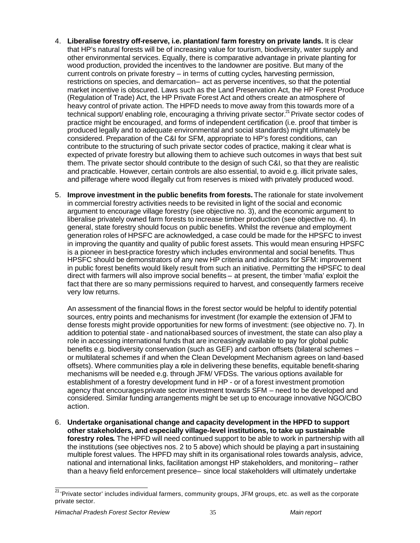- 4. **Liberalise forestry off-reserve, i.e. plantation/ farm forestry on private lands.** It is clear that HP's natural forests will be of increasing value for tourism, biodiversity, water supply and other environmental services. Equally, there is comparative advantage in private planting for wood production, provided the incentives to the landowner are positive. But many of the current controls on private forestry – in terms of cutting cycles, harvesting permission, restrictions on species, and demarcation- act as perverse incentives, so that the potential market incentive is obscured. Laws such as the Land Preservation Act, the HP Forest Produce (Regulation of Trade) Act, the HP Private Forest Act and others create an atmosphere of heavy control of private action. The HPFD needs to move away from this towards more of a technical support/ enabling role, encouraging a thriving private sector.<sup>21</sup> Private sector codes of practice might be encouraged, and forms of independent certification (i.e. proof that timber is produced legally and to adequate environmental and social standards) might ultimately be considered. Preparation of the C&I for SFM, appropriate to HP's forest conditions, can contribute to the structuring of such private sector codes of practice, making it clear what is expected of private forestry but allowing them to achieve such outcomes in ways that best suit them. The private sector should contribute to the design of such C&I, so that they are realistic and practicable. However, certain controls are also essential, to avoid e.g. illicit private sales, and pilferage where wood illegally cut from reserves is mixed with privately produced wood.
- 5. **Improve investment in the public benefits from forests.** The rationale for state involvement in commercial forestry activities needs to be revisited in light of the social and economic argument to encourage village forestry (see objective no. 3), and the economic argument to liberalise privately owned farm forests to increase timber production (see objective no. 4). In general, state forestry should focus on public benefits. Whilst the revenue and employment generation roles of HPSFC are acknowledged, a case could be made for the HPSFC to invest in improving the quantity and quality of public forest assets. This would mean ensuring HPSFC is a pioneer in best-practice forestry which includes environmental and social benefits. Thus HPSFC should be demonstrators of any new HP criteria and indicators for SFM: improvement in public forest benefits would likely result from such an initiative. Permitting the HPSFC to deal direct with farmers will also improve social benefits – at present, the timber 'mafia' exploit the fact that there are so many permissions required to harvest, and consequently farmers receive very low returns.

An assessment of the financial flows in the forest sector would be helpful to identify potential sources, entry points and mechanisms for investment (for example the extension of JFM to dense forests might provide opportunities for new forms of investment: (see objective no. 7). In addition to potential state - and national-based sources of investment, the state can also play a role in accessing international funds that are increasingly available to pay for global public benefits e.g. biodiversity conservation (such as GEF) and carbon offsets (bilateral schemes – or multilateral schemes if and when the Clean Development Mechanism agrees on land-based offsets). Where communities play a role in delivering these benefits, equitable benefit-sharing mechanisms will be needed e.g. through JFM/ VFDSs. The various options available for establishment of a forestry development fund in HP - or of a forest investment promotion agency that encourages private sector investment towards SFM – need to be developed and considered. Similar funding arrangements might be set up to encourage innovative NGO/CBO action.

6. **Undertake organisational change and capacity development in the HPFD to support other stakeholders, and especially village-level institutions, to take up sustainable forestry roles***.* The HPFD will need continued support to be able to work in partnership with all the institutions (see objectives nos. 2 to 5 above) which should be playing a part in sustaining multiple forest values. The HPFD may shift in its organisational roles towards analysis, advice, national and international links, facilitation amongst HP stakeholders, and monitoring – rather than a heavy field enforcement presence- since local stakeholders will ultimately undertake

<sup>&</sup>lt;sup>21</sup> 'Private sector' includes individual farmers, community groups, JFM groups, etc. as well as the corporate private sector.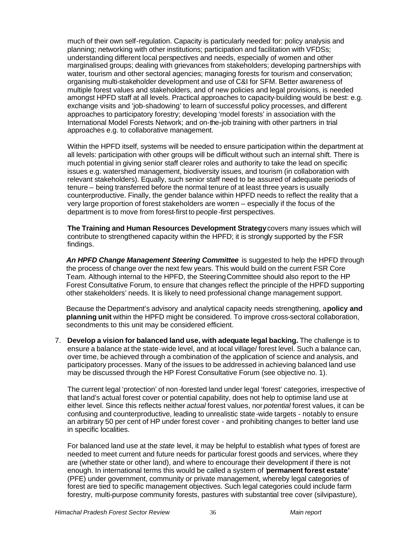much of their own self-regulation. Capacity is particularly needed for: policy analysis and planning; networking with other institutions; participation and facilitation with VFDSs; understanding different local perspectives and needs, especially of women and other marginalised groups; dealing with grievances from stakeholders; developing partnerships with water, tourism and other sectoral agencies; managing forests for tourism and conservation; organising multi-stakeholder development and use of C&I for SFM. Better awareness of multiple forest values and stakeholders, and of new policies and legal provisions, is needed amongst HPFD staff at all levels. Practical approaches to capacity-building would be best: e.g. exchange visits and 'job-shadowing' to learn of successful policy processes, and different approaches to participatory forestry; developing 'model forests' in association with the International Model Forests Network; and on-the-job training with other partners in trial approaches e.g. to collaborative management.

Within the HPFD itself, systems will be needed to ensure participation within the department at all levels: participation with other groups will be difficult without such an internal shift. There is much potential in giving senior staff clearer roles and authority to take the lead on specific issues e.g. watershed management, biodiversity issues, and tourism (in collaboration with relevant stakeholders). Equally, such senior staff need to be assured of adequate periods of tenure – being transferred before the normal tenure of at least three years is usually counterproductive. Finally, the gender balance within HPFD needs to reflect the reality that a very large proportion of forest stakeholders are women – especially if the focus of the department is to move from forest-first to people-first perspectives.

**The Training and Human Resources Development Strategy** covers many issues which will contribute to strengthened capacity within the HPFD; it is strongly supported by the FSR findings.

*An HPFD Change Management Steering Committee* is suggested to help the HPFD through the process of change over the next few years. This would build on the current FSR Core Team. Although internal to the HPFD, the Steering Committee should also report to the HP Forest Consultative Forum, to ensure that changes reflect the principle of the HPFD supporting other stakeholders' needs. It is likely to need professional change management support.

Because the Department's advisory and analytical capacity needs strengthening, a **policy and planning unit** within the HPFD might be considered. To improve cross-sectoral collaboration, secondments to this unit may be considered efficient.

7. **Develop a vision for balanced land use, with adequate legal backing.** The challenge is to ensure a balance at the state-wide level, and at local village/ forest level. Such a balance can, over time, be achieved through a combination of the application of science and analysis, and participatory processes. Many of the issues to be addressed in achieving balanced land use may be discussed through the HP Forest Consultative Forum (see objective no. 1).

The current legal 'protection' of non-forested land under legal 'forest' categories, irrespective of that land's actual forest cover or potential capability, does not help to optimise land use at either level. Since this reflects neither *actual* forest values, nor *potential* forest values, it can be confusing and counterproductive, leading to unrealistic state-wide targets - notably to ensure an arbitrary 50 per cent of HP under forest cover - and prohibiting changes to better land use in specific localities.

For balanced land use at the *state* level, it may be helpful to establish what types of forest are needed to meet current and future needs for particular forest goods and services, where they are (whether state or other land), and where to encourage their development if there is not enough. In international terms this would be called a system of *'***permanent forest estate'** (PFE) under government, community or private management, whereby legal categories of forest are tied to specific management objectives. Such legal categories could include farm forestry, multi-purpose community forests, pastures with substantial tree cover (silvipasture),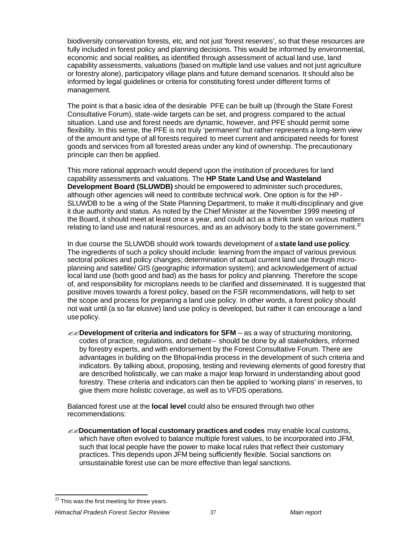biodiversity conservation forests, etc, and not just 'forest reserves', so that these resources are fully included in forest policy and planning decisions. This would be informed by environmental, economic and social realities, as identified through assessment of actual land use, land capability assessments, valuations (based on multiple land use values and not just agriculture or forestry alone), participatory village plans and future demand scenarios. It should also be informed by legal guidelines or criteria for constituting forest under different forms of management.

The point is that a basic idea of the desirable PFE can be built up (through the State Forest Consultative Forum), state-wide targets can be set, and progress compared to the actual situation. Land use and forest needs are dynamic, however, and PFE should permit some flexibility. In this sense, the PFE is not truly 'permanent' but rather represents a long-term view of the amount and type of all forests required to meet current and anticipated needs for forest goods and services from all forested areas under any kind of ownership. The precautionary principle can then be applied.

This more rational approach would depend upon the institution of procedures for land capability assessments and valuations. The **HP State Land Use and Wasteland Development Board (SLUWDB)** should be empowered to administer such procedures, although other agencies will need to contribute technical work. One option is for the HP-SLUWDB to be a wing of the State Planning Department, to make it multi-disciplinary and give it due authority and status. As noted by the Chief Minister at the November 1999 meeting of the Board, it should meet at least once a year, and could act as a think tank on various matters relating to land use and natural resources, and as an advisory body to the state government. $^2$ 

In due course the SLUWDB should work towards development of a **state land use policy**. The ingredients of such a policy should include: learning from the impact of various previous sectoral policies and policy changes; determination of actual current land use through microplanning and satellite/ GIS (geographic information system); and acknowledgement of actual local land use (both good and bad) as the basis for policy and planning. Therefore the scope of, and responsibility for microplans needs to be clarified and disseminated. It is suggested that positive moves towards a forest policy, based on the FSR recommendations, will help to set the scope and process for preparing a land use policy. In other words, a forest policy should not wait until (a so far elusive) land use policy is developed, but rather it can encourage a land use policy.

 $\mathcal{L}$ **Development of criteria and indicators for SFM** – as a way of structuring monitoring, codes of practice, regulations, and debate – should be done by all stakeholders, informed by forestry experts, and with endorsement by the Forest Consultative Forum. There are advantages in building on the Bhopal-India process in the development of such criteria and indicators. By talking about, proposing, testing and reviewing elements of good forestry that are described holistically, we can make a major leap forward in understanding about good forestry. These criteria and indicators can then be applied to 'working plans' in reserves, to give them more holistic coverage, as well as to VFDS operations.

Balanced forest use at the **local level** could also be ensured through two other recommendations:

??**Documentation of local customary practices and codes** may enable local customs, which have often evolved to balance multiple forest values, to be incorporated into JFM, such that local people have the power to make local rules that reflect their customary practices. This depends upon JFM being sufficiently flexible. Social sanctions on unsustainable forest use can be more effective than legal sanctions.

#### *Himachal Pradesh Forest Sector Review* 37 *Main report*

l  $^{22}$  This was the first meeting for three years.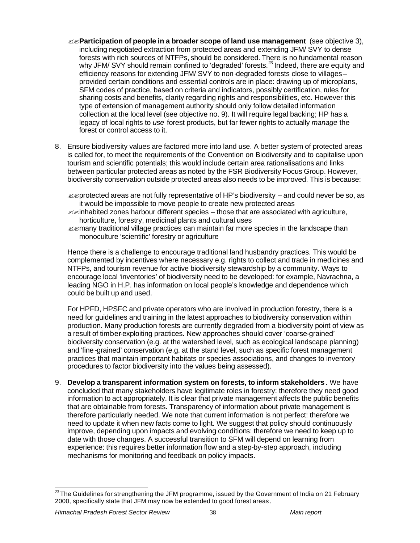- ??**Participation of people in a broader scope of land use management** (see objective 3), including negotiated extraction from protected areas and extending JFM/ SVY to dense forests with rich sources of NTFPs, should be considered. There is no fundamental reason why JFM/ SVY should remain confined to 'degraded' forests.<sup>23</sup> Indeed, there are equity and efficiency reasons for extending JFM/ SVY to non-degraded forests close to villages – provided certain conditions and essential controls are in place: drawing up of microplans, SFM codes of practice, based on criteria and indicators, possibly certification, rules for sharing costs and benefits, clarity regarding rights and responsibilities, etc. However this type of extension of management authority should only follow detailed information collection at the local level (see objective no. 9). It will require legal backing; HP has a legacy of local rights to *use* forest products, but far fewer rights to actually *manage* the forest or control access to it.
- 8. Ensure biodiversity values are factored more into land use. A better system of protected areas is called for, to meet the requirements of the Convention on Biodiversity and to capitalise upon tourism and scientific potentials; this would include certain area rationalisations and links between particular protected areas as noted by the FSR Biodiversity Focus Group. However, biodiversity conservation outside protected areas also needs to be improved. This is because:
	- $\mathcal{B}$  protected areas are not fully representative of HP's biodiversity and could never be so, as it would be impossible to move people to create new protected areas
	- $\ll$ inhabited zones harbour different species those that are associated with agriculture, horticulture, forestry, medicinal plants and cultural uses
	- $\ll$ many traditional village practices can maintain far more species in the landscape than monoculture 'scientific' forestry or agriculture

Hence there is a challenge to encourage traditional land husbandry practices. This would be complemented by incentives where necessary e.g. rights to collect and trade in medicines and NTFPs, and tourism revenue for active biodiversity stewardship by a community. Ways to encourage local 'inventories' of biodiversity need to be developed: for example, Navrachna, a leading NGO in H.P. has information on local people's knowledge and dependence which could be built up and used.

For HPFD, HPSFC and private operators who are involved in production forestry, there is a need for guidelines and training in the latest approaches to biodiversity conservation within production. Many production forests are currently degraded from a biodiversity point of view as a result of timber-exploiting practices. New approaches should cover 'coarse-grained' biodiversity conservation (e.g. at the watershed level, such as ecological landscape planning) and 'fine-grained' conservation (e.g. at the stand level, such as specific forest management practices that maintain important habitats or species associations, and changes to inventory procedures to factor biodiversity into the values being assessed).

9. **Develop a transparent information system on forests, to inform stakeholders** *.* We have concluded that many stakeholders have legitimate roles in forestry: therefore they need good information to act appropriately. It is clear that private management affects the public benefits that are obtainable from forests. Transparency of information about private management is therefore particularly needed. We note that current information is not perfect: therefore we need to update it when new facts come to light. We suggest that policy should continuously improve, depending upon impacts and evolving conditions: therefore we need to keep up to date with those changes. A successful transition to SFM will depend on learning from experience: this requires better information flow and a step-by-step approach, including mechanisms for monitoring and feedback on policy impacts.

l  $^{23}$ The Guidelines for strengthening the JFM programme, issued by the Government of India on 21 February 2000, specifically state that JFM may now be extended to good forest areas .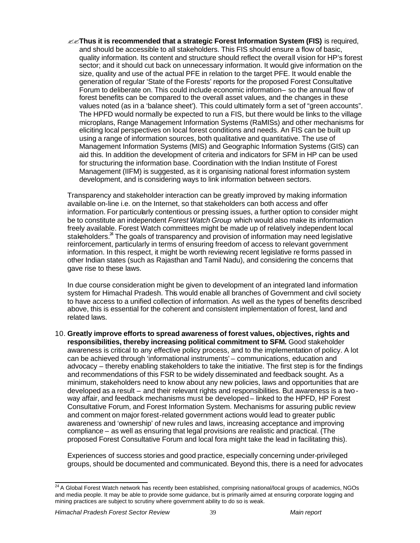??**Thus it is recommended that a strategic Forest Information System (FIS)** is required, and should be accessible to all stakeholders. This FIS should ensure a flow of basic, quality information. Its content and structure should reflect the overall vision for HP's forest sector; and it should cut back on unnecessary information. It would give information on the size, quality and use of the actual PFE in relation to the target PFE. It would enable the generation of regular 'State of the Forests' reports for the proposed Forest Consultative Forum to deliberate on. This could include economic information- so the annual flow of forest benefits can be compared to the overall asset values, and the changes in these values noted (as in a 'balance sheet'). This could ultimately form a set of "green accounts". The HPFD would normally be expected to run a FIS, but there would be links to the village microplans, Range Management Information Systems (RaMISs) and other mechanisms for eliciting local perspectives on local forest conditions and needs. An FIS can be built up using a range of information sources, both qualitative and quantitative. The use of Management Information Systems (MIS) and Geographic Information Systems (GIS) can aid this. In addition the development of criteria and indicators for SFM in HP can be used for structuring the information base. Coordination with the Indian Institute of Forest Management (IIFM) is suggested, as it is organising national forest information system development, and is considering ways to link information between sectors.

Transparency and stakeholder interaction can be greatly improved by making information available on-line i.e. on the Internet, so that stakeholders can both access and offer information. For particularly contentious or pressing issues, a further option to consider might be to constitute an independent *Forest Watch Group* which would also make its information freely available. Forest Watch committees might be made up of relatively independent local stakeholders.<sup>24</sup> The goals of transparency and provision of information may need legislative reinforcement, particularly in terms of ensuring freedom of access to relevant government information. In this respect, it might be worth reviewing recent legislative re forms passed in other Indian states (such as Rajasthan and Tamil Nadu), and considering the concerns that gave rise to these laws.

In due course consideration might be given to development of an integrated land information system for Himachal Pradesh. This would enable all branches of Government and civil society to have access to a unified collection of information. As well as the types of benefits described above, this is essential for the coherent and consistent implementation of forest, land and related laws.

10. **Greatly improve efforts to spread awareness of forest values, objectives, rights and responsibilities, thereby increasing political commitment to SFM***.* Good stakeholder awareness is critical to any effective policy process, and to the implementation of policy. A lot can be achieved through 'informational instruments' – communications, education and advocacy – thereby enabling stakeholders to take the initiative. The first step is for the findings and recommendations of this FSR to be widely disseminated and feedback sought. As a minimum, stakeholders need to know about any new policies, laws and opportunities that are developed as a result – and their relevant rights and responsibilities. But awareness is a twoway affair, and feedback mechanisms must be developed – linked to the HPFD, HP Forest Consultative Forum, and Forest Information System. Mechanisms for assuring public review and comment on major forest-related government actions would lead to greater public awareness and 'ownership' of new rules and laws, increasing acceptance and improving compliance – as well as ensuring that legal provisions are realistic and practical. (The proposed Forest Consultative Forum and local fora might take the lead in facilitating this).

Experiences of success stories and good practice, especially concerning under-privileged groups, should be documented and communicated. Beyond this, there is a need for advocates

 $\overline{a}$  $^{24}$  A Global Forest Watch network has recently been established, comprising national/local groups of academics, NGOs and media people. It may be able to provide some guidance, but is primarily aimed at ensuring corporate logging and mining practices are subject to scrutiny where government ability to do so is weak.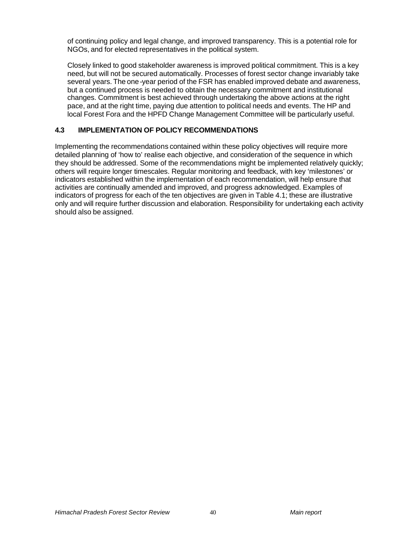of continuing policy and legal change, and improved transparency. This is a potential role for NGOs, and for elected representatives in the political system.

Closely linked to good stakeholder awareness is improved political commitment. This is a key need, but will not be secured automatically. Processes of forest sector change invariably take several years. The one-year period of the FSR has enabled improved debate and awareness, but a continued process is needed to obtain the necessary commitment and institutional changes. Commitment is best achieved through undertaking the above actions at the right pace, and at the right time, paying due attention to political needs and events. The HP and local Forest Fora and the HPFD Change Management Committee will be particularly useful.

## **4.3 IMPLEMENTATION OF POLICY RECOMMENDATIONS**

Implementing the recommendations contained within these policy objectives will require more detailed planning of 'how to' realise each objective, and consideration of the sequence in which they should be addressed. Some of the recommendations might be implemented relatively quickly; others will require longer timescales. Regular monitoring and feedback, with key 'milestones' or indicators established within the implementation of each recommendation, will help ensure that activities are continually amended and improved, and progress acknowledged. Examples of indicators of progress for each of the ten objectives are given in Table 4.1; these are illustrative only and will require further discussion and elaboration. Responsibility for undertaking each activity should also be assigned.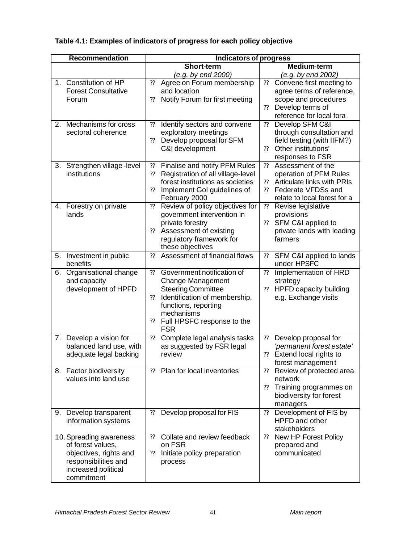# **Table 4.1: Examples of indicators of progress for each policy objective**

| <b>Recommendation</b>                            |    | <b>Indicators of progress</b>                        |                              |                                             |
|--------------------------------------------------|----|------------------------------------------------------|------------------------------|---------------------------------------------|
|                                                  |    | <b>Short-term</b>                                    |                              | <b>Medium-term</b>                          |
|                                                  |    | (e.g. by end 2000)                                   |                              | (e.g. by end 2002)                          |
| 1. Constitution of HP                            | ?? | Agree on Forum membership                            | ??                           | Convene first meeting to                    |
| <b>Forest Consultative</b>                       |    | and location                                         |                              | agree terms of reference,                   |
| Forum                                            | ?? | Notify Forum for first meeting                       |                              | scope and procedures                        |
|                                                  |    |                                                      | ??                           | Develop terms of                            |
|                                                  |    |                                                      |                              | reference for local fora                    |
| Mechanisms for cross<br>2.<br>sectoral coherence | ?? | Identify sectors and convene<br>exploratory meetings | ??                           | Develop SFM C&I<br>through consultation and |
|                                                  | ?? | Develop proposal for SFM                             |                              | field testing (with IIFM?)                  |
|                                                  |    | C&I development                                      | ??                           | Other institutions'                         |
|                                                  |    |                                                      |                              | responses to FSR                            |
| Strengthen village-level<br>3.                   | ?? | Finalise and notify PFM Rules                        | ??                           | Assessment of the                           |
| institutions                                     | ?? | Registration of all village-level                    |                              | operation of PFM Rules                      |
|                                                  |    | forest institutions as societies                     | ??                           | Articulate links with PRIs                  |
|                                                  | ?? | Implement Gol guidelines of                          | ??                           | Federate VFDSs and                          |
|                                                  |    | February 2000                                        |                              | relate to local forest for a                |
| Forestry on private<br>4.                        | ?? | Review of policy objectives for                      | $\boldsymbol{?}$             | Revise legislative                          |
| lands                                            |    | government intervention in                           |                              | provisions                                  |
|                                                  | ?? | private forestry                                     | ??                           | SFM C&I applied to                          |
|                                                  |    | Assessment of existing<br>regulatory framework for   |                              | private lands with leading<br>farmers       |
|                                                  |    | these objectives                                     |                              |                                             |
| Investment in public<br>5.                       | ?? | Assessment of financial flows                        | ??                           | SFM C&I applied to lands                    |
| benefits                                         |    |                                                      |                              | under HPSFC                                 |
| Organisational change<br>6.                      | ?? | Government notification of                           | $\boldsymbol{?}$             | Implementation of HRD                       |
| and capacity                                     |    | Change Management                                    |                              | strategy                                    |
| development of HPFD                              |    | <b>Steering Committee</b>                            | ??                           | HPFD capacity building                      |
|                                                  | ?? | Identification of membership,                        |                              | e.g. Exchange visits                        |
|                                                  |    | functions, reporting                                 |                              |                                             |
|                                                  | ?? | mechanisms<br>Full HPSFC response to the             |                              |                                             |
|                                                  |    | <b>FSR</b>                                           |                              |                                             |
| 7. Develop a vision for                          | ?? | Complete legal analysis tasks                        | 22                           | Develop proposal for                        |
| balanced land use, with                          |    | as suggested by FSR legal                            |                              | 'permanent forest estate'                   |
| adequate legal backing                           |    | review                                               | ??                           | Extend local rights to                      |
|                                                  |    |                                                      |                              | forest management                           |
| 8. Factor biodiversity                           | ?? | Plan for local inventories                           | ??                           | Review of protected area                    |
| values into land use                             |    |                                                      |                              | network                                     |
|                                                  |    |                                                      | 22                           | Training programmes on                      |
|                                                  |    |                                                      |                              | biodiversity for forest                     |
| 9. Develop transparent                           | ?? | Develop proposal for FIS                             | ??                           | managers<br>Development of FIS by           |
| information systems                              |    |                                                      |                              | HPFD and other                              |
|                                                  |    |                                                      |                              | stakeholders                                |
| 10. Spreading awareness                          | 22 | Collate and review feedback                          | $\boldsymbol ?\boldsymbol ?$ | New HP Forest Policy                        |
| of forest values,                                |    | on FSR                                               |                              | prepared and                                |
| objectives, rights and                           | ?? | Initiate policy preparation                          |                              | communicated                                |
| responsibilities and                             |    | process                                              |                              |                                             |
| increased political                              |    |                                                      |                              |                                             |
| commitment                                       |    |                                                      |                              |                                             |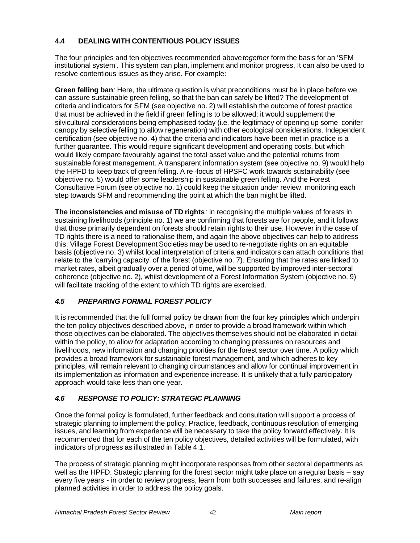# **4.4 DEALING WITH CONTENTIOUS POLICY ISSUES**

The four principles and ten objectives recommended above *together* form the basis for an 'SFM institutional system'. This system can plan, implement and monitor progress, It can also be used to resolve contentious issues as they arise. For example:

**Green felling ban***:* Here, the ultimate question is what preconditions must be in place before we can assure sustainable green felling, so that the ban can safely be lifted? The development of criteria and indicators for SFM (see objective no. 2) will establish the outcome of forest practice that must be achieved in the field if green felling is to be allowed; it would supplement the silvicultural considerations being emphasised today (i.e. the legitimacy of opening up some conifer canopy by selective felling to allow regeneration) with other ecological considerations. Independent certification (see objective no. 4) that the criteria and indicators have been met in practice is a further guarantee. This would require significant development and operating costs, but which would likely compare favourably against the total asset value and the potential returns from sustainable forest management. A transparent information system (see objective no. 9) would help the HPFD to keep track of green felling. A re -focus of HPSFC work towards sustainability (see objective no. 5) would offer some leadership in sustainable green felling. And the Forest Consultative Forum (see objective no. 1) could keep the situation under review, monitoring each step towards SFM and recommending the point at which the ban might be lifted.

**The inconsistencies and misuse of TD rights***:* in recognising the multiple values of forests in sustaining livelihoods (principle no. 1) we are confirming that forests are for people, and it follows that those primarily dependent on forests should retain rights to their use. However in the case of TD rights there is a need to rationalise them, and again the above objectives can help to address this. Village Forest Development Societies may be used to re-negotiate rights on an equitable basis (objective no. 3) whilst local interpretation of criteria and indicators can attach conditions that relate to the 'carrying capacity' of the forest (objective no. 7). Ensuring that the rates are linked to market rates, albeit gradually over a period of time, will be supported by improved inter-sectoral coherence (objective no. 2), whilst development of a Forest Information System (objective no. 9) will facilitate tracking of the extent to which TD rights are exercised.

# *4.5 PREPARING FORMAL FOREST POLICY*

It is recommended that the full formal policy be drawn from the four key principles which underpin the ten policy objectives described above, in order to provide a broad framework within which those objectives can be elaborated. The objectives themselves should not be elaborated in detail within the policy, to allow for adaptation according to changing pressures on resources and livelihoods, new information and changing priorities for the forest sector over time. A policy which provides a broad framework for sustainable forest management, and which adheres to key principles, will remain relevant to changing circumstances and allow for continual improvement in its implementation as information and experience increase. It is unlikely that a fully participatory approach would take less than one year.

# *4.6 RESPONSE TO POLICY: STRATEGIC PLANNING*

Once the formal policy is formulated, further feedback and consultation will support a process of strategic planning to implement the policy. Practice, feedback, continuous resolution of emerging issues, and learning from experience will be necessary to take the policy forward effectively. It is recommended that for each of the ten policy objectives, detailed activities will be formulated, with indicators of progress as illustrated in Table 4.1.

The process of strategic planning might incorporate responses from other sectoral departments as well as the HPFD. Strategic planning for the forest sector might take place on a regular basis – say every five years - in order to review progress, learn from both successes and failures, and re-align planned activities in order to address the policy goals.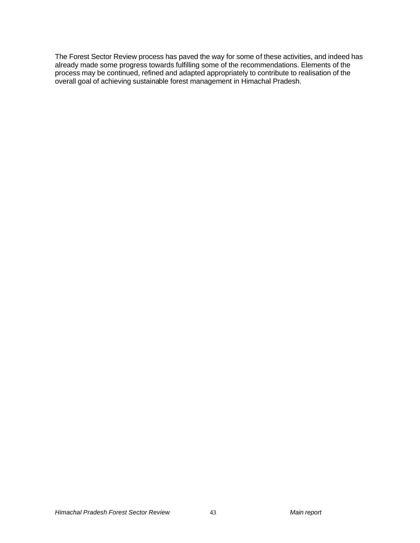The Forest Sector Review process has paved the way for some of these activities, and indeed has already made some progress towards fulfilling some of the recommendations. Elements of the process may be continued, refined and adapted appropriately to contribute to realisation of the overall goal of achieving sustainable forest management in Himachal Pradesh.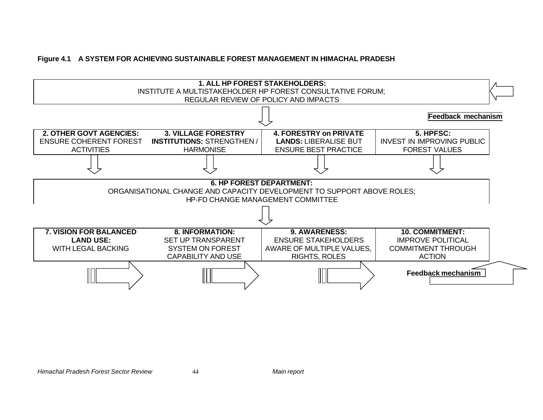## **Figure 4.1 A SYSTEM FOR ACHIEVING SUSTAINABLE FOREST MANAGEMENT IN HIMACHAL PRADESH**

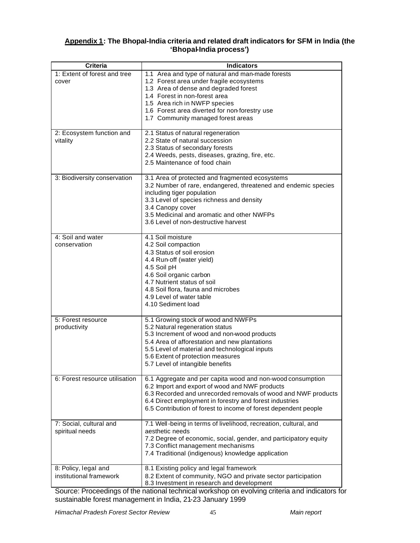## **Appendix 1: The Bhopal-India criteria and related draft indicators for SFM in India (the 'Bhopal-India process')**

| <b>Criteria</b>                                 | <b>Indicators</b>                                                                                                                                                                                                                                                                                           |
|-------------------------------------------------|-------------------------------------------------------------------------------------------------------------------------------------------------------------------------------------------------------------------------------------------------------------------------------------------------------------|
| 1: Extent of forest and tree<br>cover           | 1.1 Area and type of natural and man-made forests<br>1.2 Forest area under fragile ecosystems<br>1.3 Area of dense and degraded forest<br>1.4 Forest in non-forest area<br>1.5 Area rich in NWFP species<br>1.6 Forest area diverted for non-forestry use<br>1.7 Community managed forest areas             |
| 2: Ecosystem function and<br>vitality           | 2.1 Status of natural regeneration<br>2.2 State of natural succession<br>2.3 Status of secondary forests<br>2.4 Weeds, pests, diseases, grazing, fire, etc.<br>2.5 Maintenance of food chain                                                                                                                |
| 3: Biodiversity conservation                    | 3.1 Area of protected and fragmented ecosystems<br>3.2 Number of rare, endangered, threatened and endemic species<br>including tiger population<br>3.3 Level of species richness and density<br>3.4 Canopy cover<br>3.5 Medicinal and aromatic and other NWFPs<br>3.6 Level of non-destructive harvest      |
| 4: Soil and water<br>conservation               | 4.1 Soil moisture<br>4.2 Soil compaction<br>4.3 Status of soil erosion<br>4.4 Run-off (water yield)<br>4.5 Soil pH<br>4.6 Soil organic carbon<br>4.7 Nutrient status of soil<br>4.8 Soil flora, fauna and microbes<br>4.9 Level of water table<br>4.10 Sediment load                                        |
| 5: Forest resource<br>productivity              | 5.1 Growing stock of wood and NWFPs<br>5.2 Natural regeneration status<br>5.3 Increment of wood and non-wood products<br>5.4 Area of afforestation and new plantations<br>5.5 Level of material and technological inputs<br>5.6 Extent of protection measures<br>5.7 Level of intangible benefits           |
| 6: Forest resource utilisation                  | 6.1 Aggregate and per capita wood and non-wood consumption<br>6.2 Import and export of wood and NWF products<br>6.3 Recorded and unrecorded removals of wood and NWF products<br>6.4 Direct employment in forestry and forest industries<br>6.5 Contribution of forest to income of forest dependent people |
| 7: Social, cultural and<br>spiritual needs      | 7.1 Well-being in terms of livelihood, recreation, cultural, and<br>aesthetic needs<br>7.2 Degree of economic, social, gender, and participatory equity<br>7.3 Conflict management mechanisms<br>7.4 Traditional (indigenous) knowledge application                                                         |
| 8: Policy, legal and<br>institutional framework | 8.1 Existing policy and legal framework<br>8.2 Extent of community, NGO and private sector participation<br>8.3 Investment in research and development                                                                                                                                                      |

Source: Proceedings of the national technical workshop on evolving criteria and indicators for sustainable forest management in India, 21-23 January 1999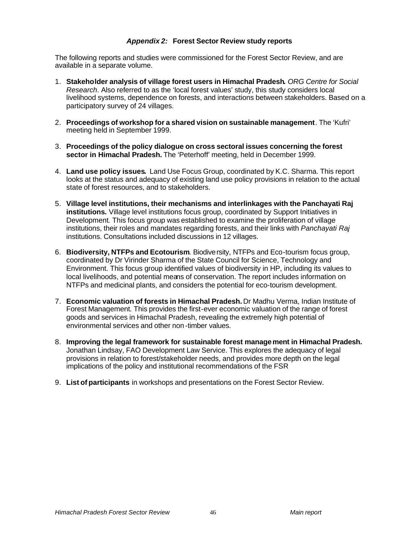## *Appendix 2:* **Forest Sector Review study reports**

The following reports and studies were commissioned for the Forest Sector Review, and are available in a separate volume.

- 1. **Stakeholder analysis of village forest users in Himachal Pradesh***. ORG Centre for Social Research*. Also referred to as the 'local forest values' study, this study considers local livelihood systems, dependence on forests, and interactions between stakeholders. Based on a participatory survey of 24 villages.
- 2. **Proceedings of workshop for a shared vision on sustainable management**. The 'Kufri' meeting held in September 1999.
- 3. **Proceedings of the policy dialogue on cross sectoral issues concerning the forest sector in Himachal Pradesh.** The 'Peterhoff' meeting, held in December 1999.
- 4. **Land use policy issues***.* Land Use Focus Group, coordinated by K.C. Sharma. This report looks at the status and adequacy of existing land use policy provisions in relation to the actual state of forest resources, and to stakeholders.
- 5. **Village level institutions, their mechanisms and interlinkages with the Panchayati Raj institutions***.* Village level institutions focus group, coordinated by Support Initiatives in Development*.* This focus group was established to examine the proliferation of village institutions, their roles and mandates regarding forests, and their links with *Panchayati Raj* institutions. Consultations included discussions in 12 villages.
- 6. **Biodiversity, NTFPs and Ecotourism**. Biodiversity, NTFPs and Eco-tourism focus group, coordinated by Dr Virinder Sharma of the State Council for Science, Technology and Environment. This focus group identified values of biodiversity in HP, including its values to local livelihoods, and potential means of conservation. The report includes information on NTFPs and medicinal plants, and considers the potential for eco-tourism development.
- 7. **Economic valuation of forests in Himachal Pradesh.** Dr Madhu Verma, Indian Institute of Forest Management*.* This provides the first-ever economic valuation of the range of forest goods and services in Himachal Pradesh, revealing the extremely high potential of environmental services and other non-timber values.
- 8. **Improving the legal framework for sustainable forest management in Himachal Pradesh.** Jonathan Lindsay, FAO Development Law Service. This explores the adequacy of legal provisions in relation to forest/stakeholder needs, and provides more depth on the legal implications of the policy and institutional recommendations of the FSR
- 9. **List of participants** in workshops and presentations on the Forest Sector Review.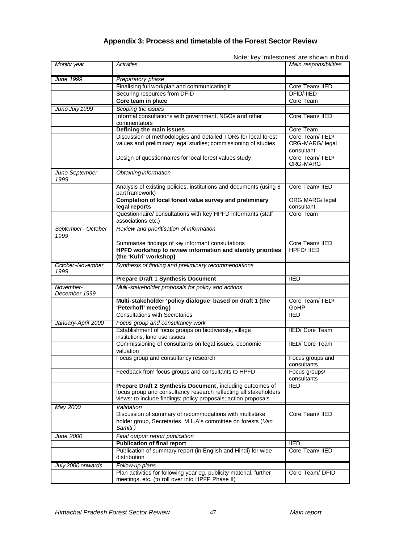# **Appendix 3: Process and timetable of the Forest Sector Review**

Note: key 'milestones' are shown in bold

| Month/year                  | Activities                                                                                 | Main responsibilities     |
|-----------------------------|--------------------------------------------------------------------------------------------|---------------------------|
| June 1999                   | Preparatory phase                                                                          |                           |
|                             | Finalising full workplan and communicating it                                              | Core Team/ IIED           |
|                             | Securing resources from DFID                                                               | <b>DFID/IIED</b>          |
|                             | Core team in place                                                                         | Core Team                 |
|                             |                                                                                            |                           |
| June-July 1999              | Scoping the issues                                                                         | Core Team/ IIED           |
|                             | Informal consultations with government, NGOs and other<br>commentators                     |                           |
|                             | Defining the main issues                                                                   | Core Team                 |
|                             | Discussion of methodologies and detailed TORs for local forest                             | Core Team/ IIED/          |
|                             | values and preliminary legal studies; commissioning of studies                             | ORG-MARG/ legal           |
|                             |                                                                                            | consultant                |
|                             | Design of questionnaires for local forest values study                                     | Core Team/ IIED/          |
|                             |                                                                                            | ORG-MARG                  |
| June-September<br>1999      | Obtaining information                                                                      |                           |
|                             | Analysis of existing policies, institutions and documents (using 8<br>part framework)      | Core Team/ IIED           |
|                             | Completion of local forest value survey and preliminary                                    | ORG MARG/ legal           |
|                             | legal reports                                                                              | consultant                |
|                             | Questionnaire/ consultations with key HPFD informants (staff                               | Core Team                 |
|                             | associations etc.)                                                                         |                           |
| September - October<br>1999 | Review and prioritisation of information                                                   |                           |
|                             | Summarise findings of key informant consultations                                          | Core Team/ IIED           |
|                             | HPFD workshop to review information and identify priorities                                | <b>HPFD/ IIED</b>         |
|                             | (the 'Kufri' workshop)                                                                     |                           |
| October-November            | Synthesis of finding and preliminary recommendations                                       |                           |
| 1999                        |                                                                                            |                           |
|                             | <b>Prepare Draft 1 Synthesis Document</b>                                                  | <b>IIED</b>               |
| November-<br>December 1999  | Multi-stakeholder proposals for policy and actions                                         |                           |
|                             | Multi-stakeholder 'policy dialogue' based on draft 1 (the                                  | Core Team/ IIED/          |
|                             | 'Peterhoff' meeting)                                                                       | GoHP                      |
|                             | <b>Consultations with Secretaries</b>                                                      | <b>IIED</b>               |
|                             |                                                                                            |                           |
| January-April 2000          | Focus group and consultancy work<br>Establishment of focus groups on biodiversity, village | <b>IIED/ Core Team</b>    |
|                             | institutions, land use issues                                                              |                           |
|                             | Commissioning of consultants on legal issues, economic                                     | <b>IIED/ Core Team</b>    |
|                             | valuation                                                                                  |                           |
|                             | Focus group and consultancy research                                                       | Focus groups and          |
|                             |                                                                                            | consultants               |
|                             | Feedback from focus groups and consultants to HPFD                                         | Focus groups/             |
|                             |                                                                                            | consultants               |
|                             | Prepare Draft 2 Synthesis Document, including outcomes of                                  | $\overline{\mathsf{HED}}$ |
|                             | focus group and consultancy research reflecting all stakeholders'                          |                           |
|                             | views: to include findings; policy proposals; action proposals                             |                           |
| May 2000                    | Validation                                                                                 |                           |
|                             | Discussion of summary of recommodations with multistake                                    | Core Team/ IIED           |
|                             | holder group, Secretaries, M.L.A's committee on forests (Van<br>Samiti)                    |                           |
| <i><b>June 2000</b></i>     | Final output: report publication                                                           |                           |
|                             | <b>Publication of final report</b>                                                         | <b>IIED</b>               |
|                             | Publication of summary report (in English and Hindi) for wide                              | Core Team/ IIED           |
|                             | distribution                                                                               |                           |
| July 2000 onwards           |                                                                                            |                           |
|                             |                                                                                            |                           |
|                             | Follow-up plans<br>Plan activities for following year eg. publicity material, further      | Core Team/ DFID           |